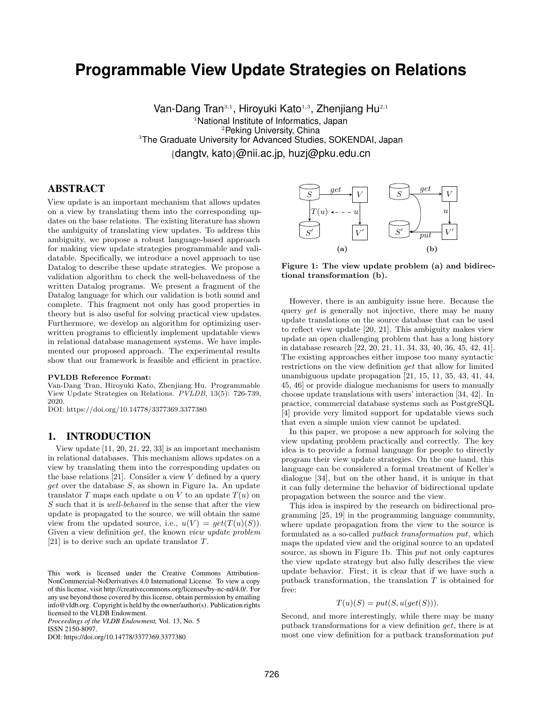# **Programmable View Update Strategies on Relations**

Van-Dang Tran<sup>3,1</sup>, Hiroyuki Kato<sup>1,3</sup>, Zhenjiang Hu<sup>2,1</sup> <sup>1</sup>National Institute of Informatics, Japan <sup>2</sup>Peking University, China <sup>3</sup>The Graduate University for Advanced Studies, SOKENDAI, Japan {dangtv, kato}@nii.ac.jp, huzj@pku.edu.cn

# ABSTRACT

View update is an important mechanism that allows updates on a view by translating them into the corresponding updates on the base relations. The existing literature has shown the ambiguity of translating view updates. To address this ambiguity, we propose a robust language-based approach for making view update strategies programmable and validatable. Specifically, we introduce a novel approach to use Datalog to describe these update strategies. We propose a validation algorithm to check the well-behavedness of the written Datalog programs. We present a fragment of the Datalog language for which our validation is both sound and complete. This fragment not only has good properties in theory but is also useful for solving practical view updates. Furthermore, we develop an algorithm for optimizing userwritten programs to efficiently implement updatable views in relational database management systems. We have implemented our proposed approach. The experimental results show that our framework is feasible and efficient in practice.

#### PVLDB Reference Format:

Van-Dang Tran, Hiroyuki Kato, Zhenjiang Hu. Programmable View Update Strategies on Relations. PVLDB, 13(5): 726-739, 2020.

DOI: https://doi.org/10.14778/3377369.3377380

#### 1. INTRODUCTION

View update [\[11,](#page-12-0) [20,](#page-12-1) [21,](#page-12-2) [22,](#page-12-3) [33\]](#page-12-4) is an important mechanism in relational databases. This mechanism allows updates on a view by translating them into the corresponding updates on the base relations [\[21\]](#page-12-2). Consider a view  $V$  defined by a query *get* over the database  $S$ , as shown in Figure [1a.](#page-0-0) An update translator T maps each update u on V to an update  $T(u)$  on S such that it is well-behaved in the sense that after the view update is propagated to the source, we will obtain the same view from the updated source, i.e.,  $u(V) = get(T(u)(S)).$ Given a view definition get, the known view update problem [\[21\]](#page-12-2) is to derive such an update translator T.

*Proceedings of the VLDB Endowment,* Vol. 13, No. 5 ISSN 2150-8097.

DOI: https://doi.org/10.14778/3377369.3377380

<span id="page-0-0"></span>

Figure 1: The view update problem (a) and bidirectional transformation (b).

However, there is an ambiguity issue here. Because the query *get* is generally not injective, there may be many update translations on the source database that can be used to reflect view update [\[20,](#page-12-1) [21\]](#page-12-2). This ambiguity makes view update an open challenging problem that has a long history in database research [\[22,](#page-12-3) [20,](#page-12-1) [21,](#page-12-2) [11,](#page-12-0) [34,](#page-12-5) [33,](#page-12-4) [40,](#page-13-0) [36,](#page-12-6) [45,](#page-13-1) [42,](#page-13-2) [41\]](#page-13-3). The existing approaches either impose too many syntactic restrictions on the view definition get that allow for limited unambiguous update propagation [\[21,](#page-12-2) [15,](#page-12-7) [11,](#page-12-0) [35,](#page-12-8) [43,](#page-13-4) [41,](#page-13-3) [44,](#page-13-5) [45,](#page-13-1) [46\]](#page-13-6) or provide dialogue mechanisms for users to manually choose update translations with users' interaction [\[34,](#page-12-5) [42\]](#page-13-2). In practice, commercial database systems such as PostgreSQL [\[4\]](#page-12-9) provide very limited support for updatable views such that even a simple union view cannot be updated.

In this paper, we propose a new approach for solving the view updating problem practically and correctly. The key idea is to provide a formal language for people to directly program their view update strategies. On the one hand, this language can be considered a formal treatment of Keller's dialogue [\[34\]](#page-12-5), but on the other hand, it is unique in that it can fully determine the behavior of bidirectional update propagation between the source and the view.

This idea is inspired by the research on bidirectional programming [\[25,](#page-12-10) [19\]](#page-12-11) in the programming language community, where update propagation from the view to the source is formulated as a so-called putback transformation put, which maps the updated view and the original source to an updated source, as shown in Figure [1b.](#page-0-0) This put not only captures the view update strategy but also fully describes the view update behavior. First, it is clear that if we have such a putback transformation, the translation  $T$  is obtained for free:

$$
T(u)(S) = put(S, u(get(S))).
$$

Second, and more interestingly, while there may be many putback transformations for a view definition get, there is at most one view definition for a putback transformation put

This work is licensed under the Creative Commons Attribution-NonCommercial-NoDerivatives 4.0 International License. To view a copy of this license, visit http://creativecommons.org/licenses/by-nc-nd/4.0/. For any use beyond those covered by this license, obtain permission by emailing info@vldb.org. Copyright is held by the owner/author(s). Publication rights licensed to the VLDB Endowment.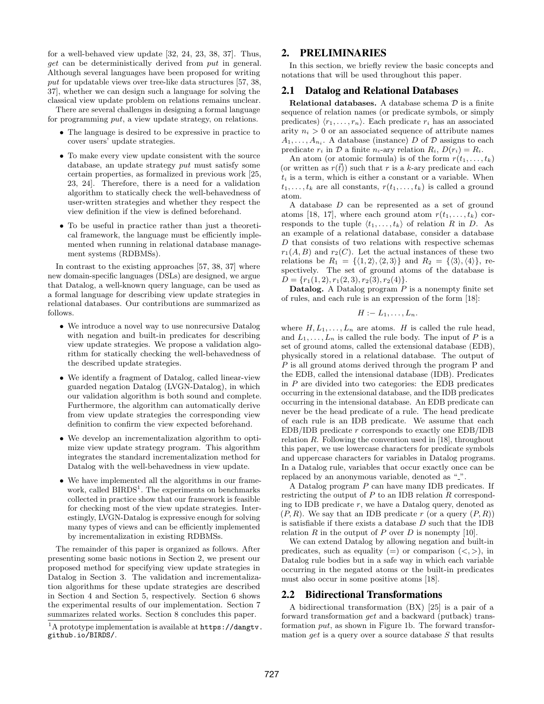for a well-behaved view update [\[32,](#page-12-12) [24,](#page-12-13) [23,](#page-12-14) [38,](#page-12-15) [37\]](#page-12-16). Thus, get can be deterministically derived from put in general. Although several languages have been proposed for writing put for updatable views over tree-like data structures [\[57,](#page-13-7) [38,](#page-12-15) [37\]](#page-12-16), whether we can design such a language for solving the classical view update problem on relations remains unclear.

There are several challenges in designing a formal language for programming put, a view update strategy, on relations.

- The language is desired to be expressive in practice to cover users' update strategies.
- To make every view update consistent with the source database, an update strategy put must satisfy some certain properties, as formalized in previous work [\[25,](#page-12-10) [23,](#page-12-14) [24\]](#page-12-13). Therefore, there is a need for a validation algorithm to statically check the well-behavedness of user-written strategies and whether they respect the view definition if the view is defined beforehand.
- To be useful in practice rather than just a theoretical framework, the language must be efficiently implemented when running in relational database management systems (RDBMSs).

In contrast to the existing approaches [\[57,](#page-13-7) [38,](#page-12-15) [37\]](#page-12-16) where new domain-specific languages (DSLs) are designed, we argue that Datalog, a well-known query language, can be used as a formal language for describing view update strategies in relational databases. Our contributions are summarized as follows.

- We introduce a novel way to use nonrecursive Datalog with negation and built-in predicates for describing view update strategies. We propose a validation algorithm for statically checking the well-behavedness of the described update strategies.
- We identify a fragment of Datalog, called linear-view guarded negation Datalog (LVGN-Datalog), in which our validation algorithm is both sound and complete. Furthermore, the algorithm can automatically derive from view update strategies the corresponding view definition to confirm the view expected beforehand.
- We develop an incrementalization algorithm to optimize view update strategy program. This algorithm integrates the standard incrementalization method for Datalog with the well-behavedness in view update.
- We have implemented all the algorithms in our frame-work, called BIRDS<sup>[1](#page-1-0)</sup>. The experiments on benchmarks collected in practice show that our framework is feasible for checking most of the view update strategies. Interestingly, LVGN-Datalog is expressive enough for solving many types of views and can be efficiently implemented by incrementalization in existing RDBMSs.

The remainder of this paper is organized as follows. After presenting some basic notions in Section [2,](#page-1-1) we present our proposed method for specifying view update strategies in Datalog in Section [3.](#page-2-0) The validation and incrementalization algorithms for these update strategies are described in Section [4](#page-5-0) and Section [5,](#page-8-0) respectively. Section [6](#page-9-0) shows the experimental results of our implementation. Section [7](#page-10-0) summarizes related works. Section [8](#page-11-0) concludes this paper.

## <span id="page-1-1"></span>2. PRELIMINARIES

In this section, we briefly review the basic concepts and notations that will be used throughout this paper.

#### 2.1 Datalog and Relational Databases

Relational databases. A database schema  $D$  is a finite sequence of relation names (or predicate symbols, or simply predicates)  $\langle r_1, \ldots, r_n \rangle$ . Each predicate  $r_i$  has an associated arity  $n_i > 0$  or an associated sequence of attribute names  $A_1, \ldots, A_{n_i}$ . A database (instance) D of D assigns to each predicate  $r_i$  in D a finite  $n_i$ -ary relation  $R_i$ ,  $D(r_i) = R_i$ .

An atom (or atomic formula) is of the form  $r(t_1, \ldots, t_k)$ (or written as  $r(t)$ ) such that r is a k-ary predicate and each  $t_i$  is a term, which is either a constant or a variable. When  $t_1, \ldots, t_k$  are all constants,  $r(t_1, \ldots, t_k)$  is called a ground atom.

A database D can be represented as a set of ground atoms [\[18,](#page-12-17) [17\]](#page-12-18), where each ground atom  $r(t_1, \ldots, t_k)$  corresponds to the tuple  $\langle t_1, \ldots, t_k \rangle$  of relation R in D. As an example of a relational database, consider a database  ${\cal D}$  that consists of two relations with respective schemas  $r_1(A, B)$  and  $r_2(C)$ . Let the actual instances of these two relations be  $R_1 = {\langle 1, 2 \rangle, \langle 2, 3 \rangle}$  and  $R_2 = {\langle 3 \rangle, \langle 4 \rangle}$ , respectively. The set of ground atoms of the database is  $D = \{r_1(1, 2), r_1(2, 3), r_2(3), r_2(4)\}.$ 

**Datalog.** A Datalog program  $P$  is a nonempty finite set of rules, and each rule is an expression of the form [\[18\]](#page-12-17):

$$
H:=L_1,\ldots,L_n.
$$

where  $H, L_1, \ldots, L_n$  are atoms. H is called the rule head, and  $L_1, \ldots, L_n$  is called the rule body. The input of P is a set of ground atoms, called the extensional database (EDB), physically stored in a relational database. The output of P is all ground atoms derived through the program P and the EDB, called the intensional database (IDB). Predicates in  $P$  are divided into two categories: the EDB predicates occurring in the extensional database, and the IDB predicates occurring in the intensional database. An EDB predicate can never be the head predicate of a rule. The head predicate of each rule is an IDB predicate. We assume that each  $EDB/IDB$  predicate  $r$  corresponds to exactly one  $EDB/IDB$ relation  $R$ . Following the convention used in [\[18\]](#page-12-17), throughout this paper, we use lowercase characters for predicate symbols and uppercase characters for variables in Datalog programs. In a Datalog rule, variables that occur exactly once can be replaced by an anonymous variable, denoted as "...".

A Datalog program P can have many IDB predicates. If restricting the output of  $P$  to an IDB relation  $R$  corresponding to IDB predicate  $r$ , we have a Datalog query, denoted as  $(P, R)$ . We say that an IDB predicate r (or a query  $(P, R)$ ) is satisfiable if there exists a database  $D$  such that the IDB relation R in the output of P over D is nonempty [\[10\]](#page-12-19).

We can extend Datalog by allowing negation and built-in predicates, such as equality (=) or comparison  $(<,>)$ , in Datalog rule bodies but in a safe way in which each variable occurring in the negated atoms or the built-in predicates must also occur in some positive atoms [\[18\]](#page-12-17).

#### 2.2 Bidirectional Transformations

A bidirectional transformation (BX) [\[25\]](#page-12-10) is a pair of a forward transformation get and a backward (putback) transformation put, as shown in Figure [1b.](#page-0-0) The forward transformation get is a query over a source database  $S$  that results

<span id="page-1-0"></span> $1<sup>1</sup>A$  prototype implementation is available at **[https://dangtv.](https://dangtv.github.io/BIRDS/)** [github.io/BIRDS/](https://dangtv.github.io/BIRDS/).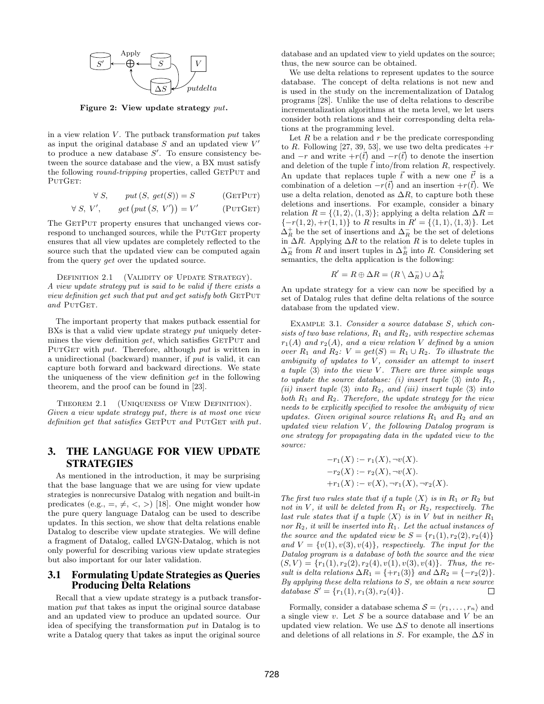<span id="page-2-3"></span>

Figure 2: View update strategy put.

in a view relation  $V$ . The putback transformation  $put$  takes as input the original database  $S$  and an updated view  $V'$ to produce a new database  $S'$ . To ensure consistency between the source database and the view, a BX must satisfy the following *round-tripping* properties, called GETPUT and PUTGET:

$$
\forall S, \qquad put(S, get(S)) = S \qquad (GETPUT)
$$

$$
\forall S, V', \qquad get \left( put \left( S, V' \right) \right) = V' \qquad \text{(PUTGET)}
$$

The GETPUT property ensures that unchanged views correspond to unchanged sources, while the PUTGET property ensures that all view updates are completely reflected to the source such that the updated view can be computed again from the query get over the updated source.

<span id="page-2-4"></span>DEFINITION 2.1 (VALIDITY OF UPDATE STRATEGY). A view update strategy put is said to be valid if there exists a view definition get such that put and get satisfy both  $GETPUT$ and PUTGET.

The important property that makes putback essential for BXs is that a valid view update strategy put uniquely determines the view definition  $qet$ , which satisfies GETPUT and PUTGET with put. Therefore, although put is written in a unidirectional (backward) manner, if put is valid, it can capture both forward and backward directions. We state the uniqueness of the view definition get in the following theorem, and the proof can be found in [\[23\]](#page-12-14).

THEOREM 2.1 (UNIQUENESS OF VIEW DEFINITION). Given a view update strategy put, there is at most one view definition get that satisfies  $GETPUT$  and  $PUTGET$  with put.

# <span id="page-2-0"></span>3. THE LANGUAGE FOR VIEW UPDATE STRATEGIES

As mentioned in the introduction, it may be surprising that the base language that we are using for view update strategies is nonrecursive Datalog with negation and built-in predicates (e.g.,  $=$ ,  $\neq$ ,  $\lt$ ,  $>$ ) [\[18\]](#page-12-17). One might wonder how the pure query language Datalog can be used to describe updates. In this section, we show that delta relations enable Datalog to describe view update strategies. We will define a fragment of Datalog, called LVGN-Datalog, which is not only powerful for describing various view update strategies but also important for our later validation.

#### 3.1 Formulating Update Strategies as Queries Producing Delta Relations

Recall that a view update strategy is a putback transformation put that takes as input the original source database and an updated view to produce an updated source. Our idea of specifying the transformation put in Datalog is to write a Datalog query that takes as input the original source

database and an updated view to yield updates on the source; thus, the new source can be obtained.

We use delta relations to represent updates to the source database. The concept of delta relations is not new and is used in the study on the incrementalization of Datalog programs [\[28\]](#page-12-20). Unlike the use of delta relations to describe incrementalization algorithms at the meta level, we let users consider both relations and their corresponding delta relations at the programming level.

<span id="page-2-1"></span>Let  $R$  be a relation and  $r$  be the predicate corresponding to R. Following [\[27,](#page-12-21) [39,](#page-13-8) [53\]](#page-13-9), we use two delta predicates  $+r$ and  $-r$  and write  $+r(\vec{t})$  and  $-r(\vec{t})$  to denote the insertion and deletion of the tuple  $\vec{t}$  into/from relation R, respectively. An update that replaces tuple  $\vec{t}$  with a new one  $\vec{t'}$  is a combination of a deletion  $-r(\vec{t})$  and an insertion  $+r(\vec{t})$ . We use a delta relation, denoted as  $\Delta R$ , to capture both these deletions and insertions. For example, consider a binary relation  $R = \{(1, 2), (1, 3)\}$ ; applying a delta relation  $\Delta R =$  $\{-r(1, 2), +r(1, 1)\}\$ to R results in  $R' = \{\langle 1, 1 \rangle, \langle 1, 3 \rangle\}\$ . Let  $\Delta_R^+$  be the set of insertions and  $\Delta_R^-$  be the set of deletions in  $\Delta R$ . Applying  $\Delta R$  to the relation R is to delete tuples in  $\Delta_R^-$  from R and insert tuples in  $\Delta_R^+$  into R. Considering set semantics, the delta application is the following:

<span id="page-2-2"></span>
$$
R' = R \oplus \Delta R = (R \setminus \Delta_R^-) \cup \Delta_R^+
$$

An update strategy for a view can now be specified by a set of Datalog rules that define delta relations of the source database from the updated view.

EXAMPLE 3.1. Consider a source database S, which consists of two base relations,  $R_1$  and  $R_2$ , with respective schemas  $r_1(A)$  and  $r_2(A)$ , and a view relation V defined by a union over  $R_1$  and  $R_2$ :  $V = get(S) = R_1 \cup R_2$ . To illustrate the ambiguity of updates to  $V$ , consider an attempt to insert a tuple  $\langle 3 \rangle$  into the view  $\hat{V}$ . There are three simple ways to update the source database: (i) insert tuple  $\langle 3 \rangle$  into  $R_1$ , (ii) insert tuple  $\langle 3 \rangle$  into  $R_2$ , and (iii) insert tuple  $\langle 3 \rangle$  into both  $R_1$  and  $R_2$ . Therefore, the update strategy for the view needs to be explicitly specified to resolve the ambiguity of view updates. Given original source relations  $R_1$  and  $R_2$  and an updated view relation  $V$ , the following Datalog program is one strategy for propagating data in the updated view to the source:

$$
-r_1(X) := r_1(X), \neg v(X).
$$
  
\n
$$
-r_2(X) := r_2(X), \neg v(X).
$$
  
\n
$$
+r_1(X) := v(X), \neg r_1(X), \neg r_2(X).
$$

The first two rules state that if a tuple  $\langle X \rangle$  is in  $R_1$  or  $R_2$  but not in V, it will be deleted from  $R_1$  or  $R_2$ , respectively. The last rule states that if a tuple  $\langle X \rangle$  is in V but in neither  $R_1$ nor  $R_2$ , it will be inserted into  $R_1$ . Let the actual instances of the source and the updated view be  $S = \{r_1(1), r_2(2), r_2(4)\}\;$ and  $V = \{v(1), v(3), v(4)\}\$ , respectively. The input for the Datalog program is a database of both the source and the view  $(S, V) = \{r_1(1), r_2(2), r_2(4), v(1), v(3), v(4)\}.$  Thus, the result is delta relations  $\Delta R_1 = \{+r_1(3)\}$  and  $\Delta R_2 = \{-r_2(2)\}.$ By applying these delta relations to  $S$ , we obtain a new source database  $S' = \{r_1(1), r_1(3), r_2(4)\}.$ П

Formally, consider a database schema  $S = \langle r_1, \ldots, r_n \rangle$  and a single view  $v$ . Let  $S$  be a source database and  $V$  be an updated view relation. We use  $\Delta S$  to denote all insertions and deletions of all relations in S. For example, the  $\Delta S$  in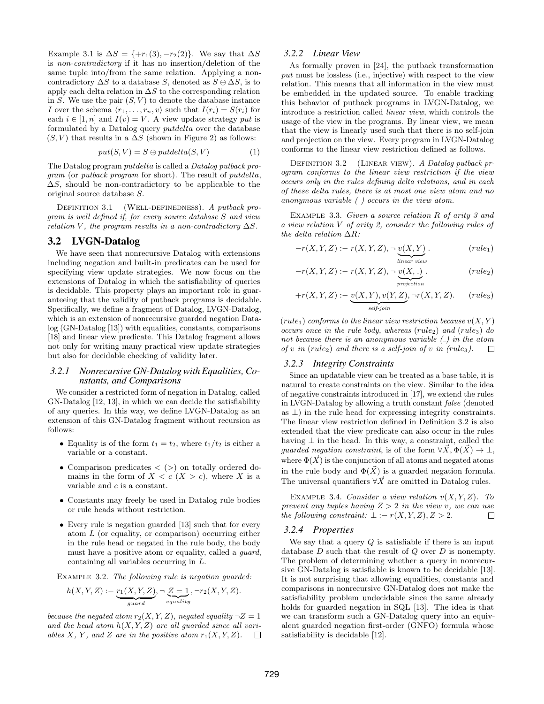Example [3.1](#page-2-2) is  $\Delta S = \{+r_1(3), -r_2(2)\}\.$  We say that  $\Delta S$ is non-contradictory if it has no insertion/deletion of the same tuple into/from the same relation. Applying a noncontradictory  $\Delta S$  to a database S, denoted as  $S \oplus \Delta S$ , is to apply each delta relation in  $\Delta S$  to the corresponding relation in S. We use the pair  $(S, V)$  to denote the database instance I over the schema  $\langle r_1, \ldots, r_n, v \rangle$  such that  $I(r_i) = S(r_i)$  for each  $i \in [1, n]$  and  $I(v) = V$ . A view update strategy put is formulated by a Datalog query putdelta over the database  $(S, V)$  that results in a  $\Delta S$  (shown in Figure [2\)](#page-2-3) as follows:

$$
put(S, V) = S \oplus putdelta(S, V) \tag{1}
$$

The Datalog program putdelta is called a Datalog putback program (or putback program for short). The result of putdelta,  $\Delta S$ , should be non-contradictory to be applicable to the original source database S.

DEFINITION 3.1 (WELL-DEFINEDNESS). A putback program is well defined if, for every source database S and view relation V, the program results in a non-contradictory  $\Delta S$ .

#### 3.2 LVGN-Datalog

We have seen that nonrecursive Datalog with extensions including negation and built-in predicates can be used for specifying view update strategies. We now focus on the extensions of Datalog in which the satisfiability of queries is decidable. This property plays an important role in guaranteeing that the validity of putback programs is decidable. Specifically, we define a fragment of Datalog, LVGN-Datalog, which is an extension of nonrecursive guarded negation Datalog (GN-Datalog [\[13\]](#page-12-22)) with equalities, constants, comparisons [\[18\]](#page-12-17) and linear view predicate. This Datalog fragment allows not only for writing many practical view update strategies but also for decidable checking of validity later.

#### *3.2.1 Nonrecursive GN-Datalog with Equalities, Constants, and Comparisons*

We consider a restricted form of negation in Datalog, called GN-Datalog [\[12,](#page-12-23) [13\]](#page-12-22), in which we can decide the satisfiability of any queries. In this way, we define LVGN-Datalog as an extension of this GN-Datalog fragment without recursion as follows:

- Equality is of the form  $t_1 = t_2$ , where  $t_1/t_2$  is either a variable or a constant.
- Comparison predicates  $\langle \rangle$  on totally ordered domains in the form of  $X < c$   $(X > c)$ , where X is a variable and c is a constant.
- Constants may freely be used in Datalog rule bodies or rule heads without restriction.
- Every rule is negation guarded [\[13\]](#page-12-22) such that for every atom L (or equality, or comparison) occurring either in the rule head or negated in the rule body, the body must have a positive atom or equality, called a guard, containing all variables occurring in L.

Example 3.2. The following rule is negation guarded:

$$
h(X, Y, Z) := \underbrace{r_1(X, Y, Z)}_{guard}, \neg \underbrace{Z = 1}_{equality}, \neg r_2(X, Y, Z).
$$

because the negated atom  $r_2(X, Y, Z)$ , negated equality  $\neg Z = 1$ and the head atom  $h(X, Y, Z)$  are all guarded since all variables X, Y, and Z are in the positive atom  $r_1(X, Y, Z)$ .  $\overline{\mathcal{A}}$ 

#### *3.2.2 Linear View*

As formally proven in [\[24\]](#page-12-13), the putback transformation put must be lossless (i.e., injective) with respect to the view relation. This means that all information in the view must be embedded in the updated source. To enable tracking this behavior of putback programs in LVGN-Datalog, we introduce a restriction called linear view, which controls the usage of the view in the programs. By linear view, we mean that the view is linearly used such that there is no self-join and projection on the view. Every program in LVGN-Datalog conforms to the linear view restriction defined as follows.

<span id="page-3-0"></span>DEFINITION 3.2 (LINEAR VIEW). A Datalog putback program conforms to the linear view restriction if the view occurs only in the rules defining delta relations, and in each of these delta rules, there is at most one view atom and no anonymous variable  $\left(\_ \right)$  occurs in the view atom.

Example 3.3. Given a source relation R of arity 3 and a view relation V of arity 2, consider the following rules of the delta relation  $\Delta R$ :

$$
-r(X, Y, Z) := r(X, Y, Z), \neg \underbrace{v(X, Y)}_{\text{linear view}}.
$$
 (rule<sub>1</sub>)

$$
-r(X, Y, Z) := r(X, Y, Z), \neg \underbrace{v(X, .)}_{projection}.
$$
 (rule<sub>2</sub>)

$$
+r(X, Y, Z) := \underbrace{v(X, Y), v(Y, Z)}_{self\text{-}\text{join}}, \neg r(X, Y, Z). \qquad (rule_3)
$$

 $(rule_1)$  conforms to the linear view restriction because  $v(X, Y)$ occurs once in the rule body, whereas  $(rule_2)$  and  $(rule_3)$  do not because there is an anonymous variable  $\left(\frac{\cdot}{\cdot}\right)$  in the atom of v in (rule<sub>2</sub>) and there is a self-join of v in (rule<sub>3</sub>).  $\Box$ 

#### *3.2.3 Integrity Constraints*

Since an updatable view can be treated as a base table, it is natural to create constraints on the view. Similar to the idea of negative constraints introduced in [\[17\]](#page-12-18), we extend the rules in LVGN-Datalog by allowing a truth constant false (denoted as  $\perp$ ) in the rule head for expressing integrity constraints. The linear view restriction defined in Definition [3.2](#page-3-0) is also extended that the view predicate can also occur in the rules having  $\perp$  in the head. In this way, a constraint, called the guarded negation constraint, is of the form  $\forall X, \Phi(X) \to \bot$ , where  $\Phi(\vec{X})$  is the conjunction of all atoms and negated atoms in the rule body and  $\Phi(\vec{X})$  is a guarded negation formula. The universal quantifiers  $\forall \vec{X}$  are omitted in Datalog rules.

EXAMPLE 3.4. Consider a view relation  $v(X, Y, Z)$ . To prevent any tuples having  $Z > 2$  in the view v, we can use the following constraint:  $\bot := r(X, Y, Z), Z > 2.$  $\Box$ 

#### *3.2.4 Properties*

We say that a query  $Q$  is satisfiable if there is an input database  $D$  such that the result of  $Q$  over  $D$  is nonempty. The problem of determining whether a query in nonrecursive GN-Datalog is satisfiable is known to be decidable [\[13\]](#page-12-22). It is not surprising that allowing equalities, constants and comparisons in nonrecursive GN-Datalog does not make the satisfiability problem undecidable since the same already holds for guarded negation in SQL [\[13\]](#page-12-22). The idea is that we can transform such a GN-Datalog query into an equivalent guarded negation first-order (GNFO) formula whose satisfiability is decidable [\[12\]](#page-12-23).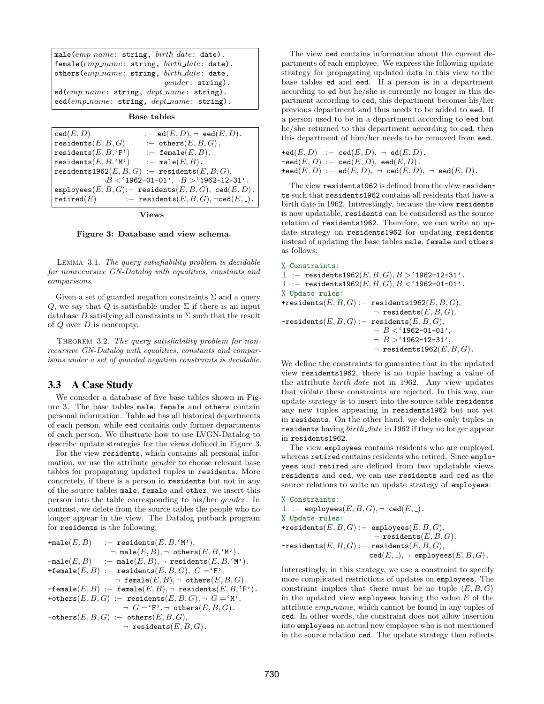<span id="page-4-0"></span>

| male $\text{(emp_name: string, birth_data: date)}$ .                |
|---------------------------------------------------------------------|
| female(emp_name: string, birth_date: date).                         |
| others $\text{(emp_name: string, birth_data: date, }$               |
| $qender:$ string).                                                  |
| $ed(emp_name: string, dept_name: string).$                          |
| ${\rm eed}(emp\_name: \text{ string}, \text{ dept\_name: string}).$ |

Base tables

| $:= \operatorname{ed}(E, D), \neg \operatorname{eed}(E, D).$<br>$\mathtt{ced}(E,D)$ |  |
|-------------------------------------------------------------------------------------|--|
| residents $(E, B, G)$<br>:- others $(E, B, G)$ .                                    |  |
| residents $(E, B, 'F')$<br>:- female $(E, B)$ .                                     |  |
| residents $(E, B, 'M')$<br>:- male $(E, B)$ .                                       |  |
| residents1962 $(E, B, G)$ :- residents $(E, B, G)$ ,                                |  |
| $\neg B$ < '1962-01-01', $\neg B$ > '1962-12-31'.                                   |  |
| $\texttt{employes}(E,B,G)$ :- residents $(E,B,G)$ , ced $(E,D)$ .                   |  |
| :- residents $(E, B, G)$ , $\neg \text{ced}(E, \_)$ .<br>$\texttt{retired}(E)$      |  |

Views

Figure 3: Database and view schema.

Lemma 3.1. The query satisfiability problem is decidable for nonrecursive GN-Datalog with equalities, constants and comparisons.

Given a set of guarded negation constraints  $\Sigma$  and a query Q, we say that Q is satisfiable under  $\Sigma$  if there is an input database D satisfying all constraints in  $\Sigma$  such that the result of  $Q$  over  $D$  is nonempty.

<span id="page-4-1"></span>THEOREM 3.2. The query satisfiability problem for nonrecursive GN-Datalog with equalities, constants and comparisons under a set of guarded negation constraints is decidable.

#### 3.3 A Case Study

We consider a database of five base tables shown in Figure [3.](#page-4-0) The base tables male, female and others contain personal information. Table ed has all historical departments of each person, while eed contains only former departments of each person. We illustrate how to use LVGN-Datalog to describe update strategies for the views defined in Figure [3.](#page-4-0)

For the view residents, which contains all personal information, we use the attribute gender to choose relevant base tables for propagating updated tuples in residents. More concretely, if there is a person in residents but not in any of the source tables male, female and other, we insert this person into the table corresponding to his/her gender. In contrast, we delete from the source tables the people who no longer appear in the view. The Datalog putback program for residents is the following:

```
\texttt{+male}(E, B) :- residents(E, B, 'M'),\neg male(E, B), \neg others(E, B, 'M').
\texttt{-male}(E, B) :- male(E, B), \neg residents(E, B, 'M').+female(E, B) :- residents(E, B, G), G = 'F',
                      \neg female(E, B), \neg others(E, B, G).
-\texttt{female}(E, B) := \texttt{female}(E, B), \neg \texttt{residents}(E, B, \text{'F'}).+others(E, B, G) :- residents(E, B, G), \neg G = \{M\},
                         \neg G = 'F', \neg \text{ others}(E, B, G).\neg \texttt{others}(E, B, G) := \texttt{others}(E, B, G),\neg residents(E, B, G).
```
The view ced contains information about the current departments of each employee. We express the following update strategy for propagating updated data in this view to the base tables ed and eed. If a person is in a department according to ed but he/she is currently no longer in this department according to ced, this department becomes his/her previous department and thus needs to be added to eed. If a person used to be in a department according to eed but he/she returned to this department according to ced, then this department of him/her needs to be removed from eed.

$$
\begin{array}{l} \mathsf{red}(E,D) \quad :- \quad \mathsf{ced}(E,D), \ \neg \quad \mathsf{ed}(E,D). \\ \mathsf{-eed}(E,D) \ := \ \mathsf{ced}(E,D), \ \mathsf{eed}(E,D). \\ \mathsf{+eed}(E,D) \ := \ \mathsf{ed}(E,D), \ \neg \ \mathsf{ced}(E,D), \ \neg \ \mathsf{eed}(E,D). \end{array}
$$

The view residents1962 is defined from the view residents such that residents1962 contains all residents that have a birth date in 1962. Interestingly, because the view residents is now updatable, residents can be considered as the source relation of residents1962. Therefore, we can write an update strategy on residents1962 for updating residents instead of updating the base tables male, female and others as follows:

```
% Constraints:
\perp :- residents1962(E, B, G), B > '1962-12-31'.
\bot :- residents1962(E, B, G), B < '1962-01-01'.
% Update rules:
+residents(E, B, G) :- residents1962(E, B, G),
                         \neg residents(E, B, G).
-residents(E, B, G) := residents(E, B, G),\neg B < '1962 - 01 - 01',
                         \neg B > '1962 - 12 - 31',
```

```
\neg residents1962(E, B, G).
```
We define the constraints to guarantee that in the updated view residents1962, there is no tuple having a value of the attribute birth date not in 1962. Any view updates that violate these constraints are rejected. In this way, our update strategy is to insert into the source table residents any new tuples appearing in residents1962 but not yet in residents. On the other hand, we delete only tuples in residents having  $birth\_date$  in 1962 if they no longer appear in residents1962.

The view employees contains residents who are employed, whereas retired contains residents who retired. Since employees and retired are defined from two updatable views residents and ced, we can use residents and ced as the source relations to write an update strategy of employees:

% Constraints:  $\bot$  :- employees $(E, B, G), \neg$  ced $(E, \_)$ . % Update rules: +residents $(E, B, G)$  :- employees $(E, B, G)$ ,  $\neg$  residents $(E, B, G)$ .  $-residents(E, B, G) :=$  residents $(E, B, G),$  $\texttt{ced}(E, \texttt{=}), \neg \texttt{ employees}(E, B, G)$ .

Interestingly, in this strategy, we use a constraint to specify more complicated restrictions of updates on employees. The constraint implies that there must be no tuple  $\langle E, B, G \rangle$ in the updated view employees having the value  $E$  of the attribute emp name, which cannot be found in any tuples of ced. In other words, the constraint does not allow insertion into employees an actual new employee who is not mentioned in the source relation ced. The update strategy then reflects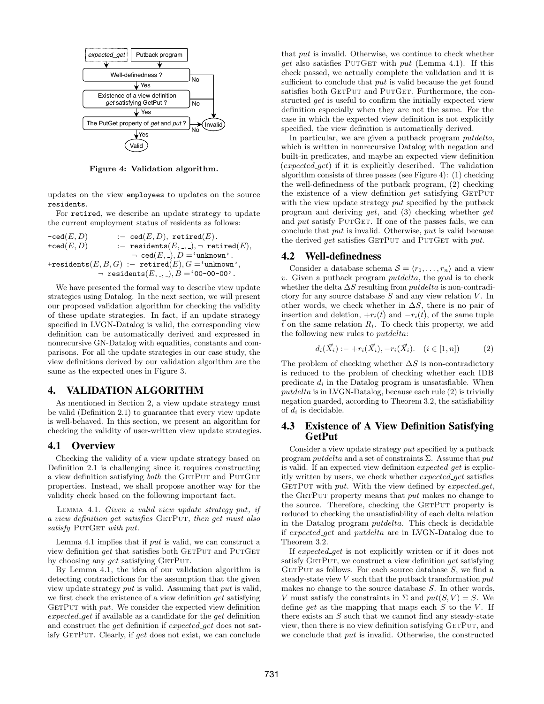<span id="page-5-2"></span>

Figure 4: Validation algorithm.

updates on the view employees to updates on the source residents.

For retired, we describe an update strategy to update the current employment status of residents as follows:

 $-\text{ced}(E, D)$  :-  $\text{ced}(E, D)$ ,  $\text{retired}(E)$ .  $+ \text{ced}(E, D)$  :- residents $(E, \_, \_)$ ,  $\neg$  retired $(E)$ ,  $\neg$  ced $(E, \Box, D = \text{'unknown'}.$ +residents $(E, B, G)$  :- retired $(E), G$  ='unknown',  $\lnot$  residents $(E, \_, \_)$ ,  $B = '00-00-00'$ .

We have presented the formal way to describe view update strategies using Datalog. In the next section, we will present our proposed validation algorithm for checking the validity of these update strategies. In fact, if an update strategy specified in LVGN-Datalog is valid, the corresponding view definition can be automatically derived and expressed in nonrecursive GN-Datalog with equalities, constants and comparisons. For all the update strategies in our case study, the view definitions derived by our validation algorithm are the same as the expected ones in Figure [3.](#page-4-0)

## <span id="page-5-0"></span>4. VALIDATION ALGORITHM

As mentioned in Section [2,](#page-1-1) a view update strategy must be valid (Definition [2.1\)](#page-2-4) to guarantee that every view update is well-behaved. In this section, we present an algorithm for checking the validity of user-written view update strategies.

#### 4.1 Overview

Checking the validity of a view update strategy based on Definition [2.1](#page-2-4) is challenging since it requires constructing a view definition satisfying  $both$  the GETPUT and PUTGET properties. Instead, we shall propose another way for the validity check based on the following important fact.

Lemma 4.1. Given a valid view update strategy put, if a view definition get satisfies GETPUT, then get must also satisfy PUTGET with put.

Lemma [4.1](#page-5-1) implies that if put is valid, we can construct a view definition  $qet$  that satisfies both  $GETPUT$  and  $PUTGET$ by choosing any *get* satisfying GETPUT.

By Lemma [4.1,](#page-5-1) the idea of our validation algorithm is detecting contradictions for the assumption that the given view update strategy put is valid. Assuming that put is valid, we first check the existence of a view definition *get* satisfying  $GETPUT$  with  $put.$  We consider the expected view definition expected get if available as a candidate for the get definition and construct the *get* definition if expected get does not satisfy GETPUT. Clearly, if get does not exist, we can conclude that put is invalid. Otherwise, we continue to check whether get also satisfies PUTGET with  $put$  (Lemma [4.1\)](#page-5-1). If this check passed, we actually complete the validation and it is sufficient to conclude that put is valid because the *get* found satisfies both GETPUT and PUTGET. Furthermore, the constructed get is useful to confirm the initially expected view definition especially when they are not the same. For the case in which the expected view definition is not explicitly specified, the view definition is automatically derived.

In particular, we are given a putback program *putdelta*, which is written in nonrecursive Datalog with negation and built-in predicates, and maybe an expected view definition  $(expected.get)$  if it is explicitly described. The validation algorithm consists of three passes (see Figure [4\)](#page-5-2): (1) checking the well-definedness of the putback program, (2) checking the existence of a view definition  $get$  satisfying  $GETPUT$ with the view update strategy put specified by the putback program and deriving get, and (3) checking whether get and  $put$  satisfy PUTGET. If one of the passes fails, we can conclude that put is invalid. Otherwise, put is valid because the derived  $get$  satisfies  $GETPUT$  and  $PUTGET$  with  $put.$ 

#### 4.2 Well-definedness

Consider a database schema  $S = \langle r_1, \ldots, r_n \rangle$  and a view  $v$ . Given a putback program  $putdelta$ , the goal is to check whether the delta  $\Delta S$  resulting from *putdelta* is non-contradictory for any source database  $S$  and any view relation  $V$ . In other words, we check whether in  $\Delta S$ , there is no pair of insertion and deletion,  $+r_i(\vec{t})$  and  $-r_i(\vec{t})$ , of the same tuple  $\vec{t}$  on the same relation  $R_i$ . To check this property, we add the following new rules to putdelta:

<span id="page-5-3"></span>
$$
d_i(\vec{X}_i) := +r_i(\vec{X}_i), -r_i(\vec{X}_i). \quad (i \in [1, n]) \tag{2}
$$

The problem of checking whether  $\Delta S$  is non-contradictory is reduced to the problem of checking whether each IDB predicate  $d_i$  in the Datalog program is unsatisfiable. When putdelta is in LVGN-Datalog, because each rule [\(2\)](#page-5-3) is trivially negation guarded, according to Theorem [3.2,](#page-4-1) the satisfiability of  $d_i$  is decidable.

## 4.3 Existence of A View Definition Satisfying GetPut

<span id="page-5-1"></span>Consider a view update strategy put specified by a putback program *putdelta* and a set of constraints  $\Sigma$ . Assume that *put* is valid. If an expected view definition expected get is explicitly written by users, we check whether expected get satisfies GETPUT with put. With the view defined by expected  $get$ . the GETPUT property means that  $put$  makes no change to the source. Therefore, checking the GETPUT property is reduced to checking the unsatisfiability of each delta relation in the Datalog program putdelta. This check is decidable if expected get and putdelta are in LVGN-Datalog due to Theorem [3.2.](#page-4-1)

If expected get is not explicitly written or if it does not satisfy GETPUT, we construct a view definition get satisfying GETPUT as follows. For each source database  $S$ , we find a steady-state view  $V$  such that the putback transformation  $put$ makes no change to the source database S. In other words, V must satisfy the constraints in  $\Sigma$  and  $put(S, V) = S$ . We define get as the mapping that maps each  $S$  to the  $V$ . If there exists an S such that we cannot find any steady-state view, then there is no view definition satisfying GETPUT, and we conclude that put is invalid. Otherwise, the constructed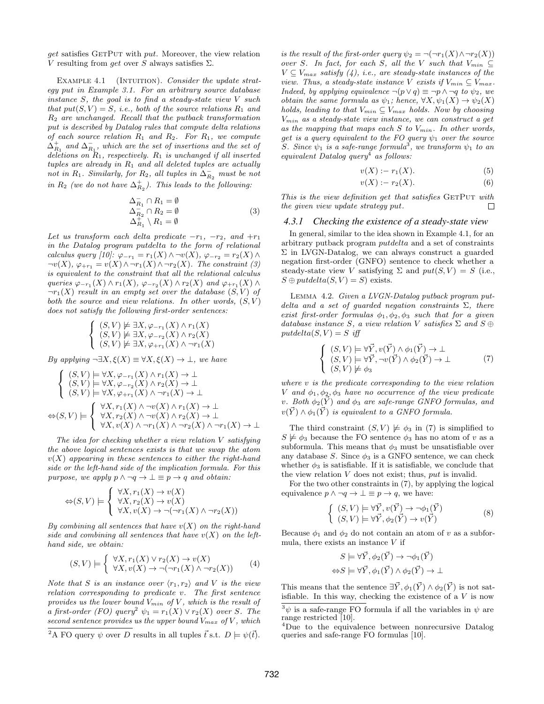$get$  satisfies GETPUT with  $put.$  Moreover, the view relation V resulting from get over S always satisfies  $\Sigma$ .

EXAMPLE 4.1 (INTUITION). Consider the update strategy put in Example [3.1.](#page-2-2) For an arbitrary source database instance  $S$ , the goal is to find a steady-state view  $V$  such that  $put(S, V) = S$ , i.e., both of the source relations  $R_1$  and  $R_2$  are unchanged. Recall that the putback transformation put is described by Datalog rules that compute delta relations of each source relation  $R_1$  and  $R_2$ . For  $R_1$ , we compute  $\Delta_{R_1}^+$  and  $\Delta_{R_1}^-$ , which are the set of insertions and the set of deletions on  $R_1$ , respectively.  $R_1$  is unchanged if all inserted tuples are already in  $R_1$  and all deleted tuples are actually not in  $R_1$ . Similarly, for  $R_2$ , all tuples in  $\overline{\Delta}_{R_2}$  must be not in  $R_2$  (we do not have  $\Delta_{R_2}^+$ ). This leads to the following:

<span id="page-6-0"></span>
$$
\Delta_{R_1}^{-} \cap R_1 = \emptyset
$$
  
\n
$$
\Delta_{R_2}^{-} \cap R_2 = \emptyset
$$
  
\n
$$
\Delta_{R_1}^{+} \setminus R_1 = \emptyset
$$
\n(3)

Let us transform each delta predicate  $-r_1$ ,  $-r_2$ , and  $+r_1$ in the Datalog program putdelta to the form of relational calculus query [\[10\]](#page-12-19):  $\varphi_{-r_1} = r_1(X) \wedge \neg v(X), \varphi_{-r_2} = r_2(X) \wedge$  $\neg v(X), \varphi_{+r_1} = v(X) \land \neg r_1(X) \land \neg r_2(X)$ . The constraint [\(3\)](#page-6-0) is equivalent to the constraint that all the relational calculus queries  $\varphi_{-r_1}(X) \wedge r_1(X)$ ,  $\varphi_{-r_2}(X) \wedge r_2(X)$  and  $\varphi_{+r_1}(X) \wedge$  $\neg r_1(X)$  result in an empty set over the database  $(S, V)$  of both the source and view relations. In other words,  $(S, V)$ does not satisfy the following first-order sentences:

$$
\begin{cases} (S,V) \not\models \exists X, \varphi_{-r_1}(X) \land r_1(X) \\ (S,V) \not\models \exists X, \varphi_{-r_2}(X) \land r_2(X) \\ (S,V) \not\models \exists X, \varphi_{+r_1}(X) \land \neg r_1(X) \end{cases}
$$

By applying  $\neg \exists X, \xi(X) \equiv \forall X, \xi(X) \rightarrow \bot$ , we have

$$
\begin{cases}\n(S, V) \models \forall X, \varphi_{-r_1}(X) \land r_1(X) \to \bot \\
(S, V) \models \forall X, \varphi_{-r_2}(X) \land r_2(X) \to \bot \\
(S, V) \models \forall X, \varphi_{+r_1}(X) \land \neg r_1(X) \to \bot\n\end{cases}
$$
\n
$$
\Leftrightarrow (S, V) \models \begin{cases}\n\forall X, r_1(X) \land \neg v(X) \land r_1(X) \to \bot \\
\forall X, r_2(X) \land \neg v(X) \land r_2(X) \to \bot \\
\forall X, v(X) \land \neg r_1(X) \land \neg r_2(X) \land \neg r_1(X) \to \bot\n\end{cases}
$$

The idea for checking whether a view relation V satisfying the above logical sentences exists is that we swap the atom  $v(X)$  appearing in these sentences to either the right-hand side or the left-hand side of the implication formula. For this purpose, we apply  $p \land \neg q \rightarrow \bot \equiv p \rightarrow q$  and obtain:

$$
\Leftrightarrow (S, V) \models \begin{cases} \forall X, r_1(X) \to v(X) \\ \forall X, r_2(X) \to v(X) \\ \forall X, v(X) \to \neg(\neg r_1(X) \land \neg r_2(X)) \end{cases}
$$

By combining all sentences that have  $v(X)$  on the right-hand side and combining all sentences that have  $v(X)$  on the lefthand side, we obtain:

<span id="page-6-2"></span>
$$
(S,V) \models \begin{cases} \forall X, r_1(X) \lor r_2(X) \to v(X) \\ \forall X, v(X) \to \neg(\neg r_1(X) \land \neg r_2(X)) \end{cases} (4)
$$

Note that S is an instance over  $\langle r_1, r_2 \rangle$  and V is the view relation corresponding to predicate v. The first sentence provides us the lower bound  $V_{min}$  of V, which is the result of a first-order (FO) query<sup>[2](#page-6-1)</sup>  $\psi_1 = r_1(X) \vee r_2(X)$  over S. The second sentence provides us the upper bound  $V_{max}$  of V, which

is the result of the first-order query  $\psi_2 = \neg(\neg r_1(X) \land \neg r_2(X))$ over S. In fact, for each S, all the V such that  $V_{min} \subseteq$  $V \subseteq V_{max}$  satisfy [\(4\)](#page-6-2), i.e., are steady-state instances of the view. Thus, a steady-state instance V exists if  $V_{min} \subset V_{max}$ . Indeed, by applying equivalence  $\neg(p \lor q) \equiv \neg p \land \neg q$  to  $\psi_2$ , we obtain the same formula as  $\psi_1$ ; hence,  $\forall X, \psi_1(X) \to \psi_2(X)$ holds, leading to that  $V_{min} \subseteq V_{max}$  holds. Now by choosing  $V_{min}$  as a steady-state view instance, we can construct a get as the mapping that maps each S to  $V_{min}$ . In other words, get is a query equivalent to the FO query  $\psi_1$  over the source S. Since  $\psi_1$  is a safe-range formula<sup>[3](#page-6-3)</sup>, we transform  $\psi_1$  to an equivalent Datalog query<sup>[4](#page-6-4)</sup> as follows:

$$
v(X) := r_1(X). \tag{5}
$$

<span id="page-6-5"></span>
$$
v(X) := r_2(X). \tag{6}
$$

This is the view definition get that satisfies GETPUT with the given view update strategy put. П

#### *4.3.1 Checking the existence of a steady-state view*

In general, similar to the idea shown in Example [4.1,](#page-6-5) for an arbitrary putback program putdelta and a set of constraints Σ in LVGN-Datalog, we can always construct a guarded negation first-order (GNFO) sentence to check whether a steady-state view V satisfying  $\Sigma$  and  $put(S, V) = S$  (i.e.,  $S \oplus putdelta(S, V) = S$  exists.

Lemma 4.2. Given a LVGN-Datalog putback program putdelta and a set of quarded negation constraints  $\Sigma$ , there exist first-order formulas  $\phi_1, \phi_2, \phi_3$  such that for a given database instance S, a view relation V satisfies  $\Sigma$  and  $S \oplus$  $putdelta(S, V) = S$  iff

<span id="page-6-6"></span>
$$
\begin{cases}\n(S, V) \models \forall \vec{Y}, v(\vec{Y}) \land \phi_1(\vec{Y}) \rightarrow \bot \\
(S, V) \models \forall \vec{Y}, \neg v(\vec{Y}) \land \phi_2(\vec{Y}) \rightarrow \bot \\
(S, V) \not\models \phi_3\n\end{cases} (7)
$$

where v is the predicate corresponding to the view relation V and  $\phi_1, \phi_2, \phi_3$  have no occurrence of the view predicate v. Both  $\phi_2(\vec{Y})$  and  $\phi_3$  are safe-range GNFO formulas, and  $v(\vec{Y}) \wedge \phi_1(\vec{Y})$  is equivalent to a GNFO formula.

The third constraint  $(S, V) \not\models \phi_3$  in [\(7\)](#page-6-6) is simplified to  $S \not\models \phi_3$  because the FO sentence  $\phi_3$  has no atom of v as a subformula. This means that  $\phi_3$  must be unsatisfiable over any database S. Since  $\phi_3$  is a GNFO sentence, we can check whether  $\phi_3$  is satisfiable. If it is satisfiable, we conclude that the view relation  $V$  does not exist; thus,  $put$  is invalid.

For the two other constraints in [\(7\)](#page-6-6), by applying the logical equivalence  $p \land \neg q \rightarrow \bot \equiv p \rightarrow q$ , we have:

<span id="page-6-7"></span>
$$
\begin{cases}\n(S, V) \models \forall \vec{Y}, v(\vec{Y}) \rightarrow \neg \phi_1(\vec{Y}) \\
(S, V) \models \forall \vec{Y}, \phi_2(\vec{Y}) \rightarrow v(\vec{Y})\n\end{cases} \tag{8}
$$

Because  $\phi_1$  and  $\phi_2$  do not contain an atom of v as a subformula, there exists an instance  $V$  if

$$
S \models \forall \vec{Y}, \phi_2(\vec{Y}) \rightarrow \neg \phi_1(\vec{Y})
$$
  

$$
\Leftrightarrow S \models \forall \vec{Y}, \phi_1(\vec{Y}) \land \phi_2(\vec{Y}) \rightarrow \bot
$$

This means that the sentence  $\exists \vec{Y}, \phi_1(\vec{Y}) \wedge \phi_2(\vec{Y})$  is not satisfiable. In this way, checking the existence of a  $V$  is now

<span id="page-6-1"></span><sup>&</sup>lt;sup>2</sup>A FO query  $\psi$  over D results in all tuples  $\vec{t}$  s.t.  $D \models \psi(\vec{t})$ .

<span id="page-6-3"></span> $^3\psi$  is a safe-range FO formula if all the variables in  $\psi$  are range restricted [\[10\]](#page-12-19).

<span id="page-6-4"></span><sup>4</sup>Due to the equivalence between nonrecursive Datalog queries and safe-range FO formulas [\[10\]](#page-12-19).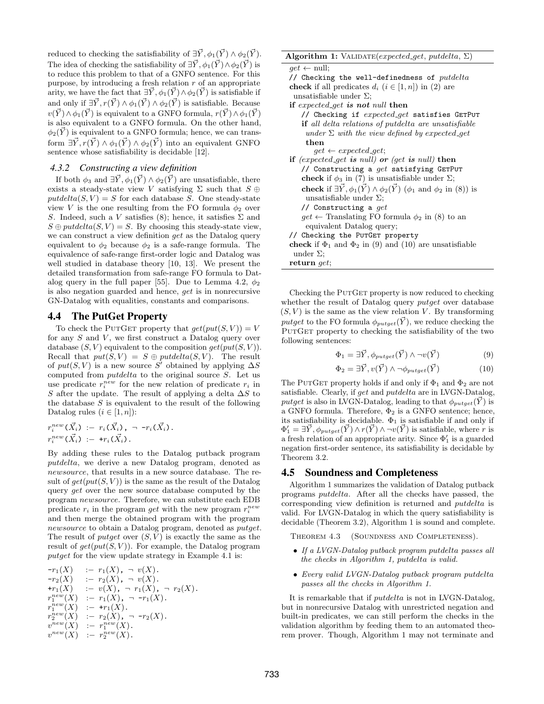reduced to checking the satisfiability of  $\exists \vec{Y}, \phi_1(\vec{Y}) \wedge \phi_2(\vec{Y})$ . The idea of checking the satisfiability of  $\exists \vec{Y}, \phi_1(\vec{Y}) \wedge \phi_2(\vec{Y})$  is to reduce this problem to that of a GNFO sentence. For this purpose, by introducing a fresh relation  $r$  of an appropriate arity, we have the fact that  $\exists \vec{Y}, \phi_1(\vec{Y}) \wedge \phi_2(\vec{Y})$  is satisfiable if and only if  $\exists \vec{Y}, r(\vec{Y}) \wedge \phi_1(\vec{Y}) \wedge \phi_2(\vec{Y})$  is satisfiable. Because  $v(\vec{Y}) \wedge \phi_1(\vec{Y})$  is equivalent to a GNFO formula,  $r(\vec{Y}) \wedge \phi_1(\vec{Y})$ is also equivalent to a GNFO formula. On the other hand,  $\phi_2(\vec{Y})$  is equivalent to a GNFO formula; hence, we can transform  $\exists \vec{Y}, r(\vec{Y}) \wedge \phi_1(\vec{Y}) \wedge \phi_2(\vec{Y})$  into an equivalent GNFO sentence whose satisfiability is decidable [\[12\]](#page-12-23).

#### *4.3.2 Constructing a view definition*

If both  $\phi_3$  and  $\exists \vec{Y}, \phi_1(\vec{Y}) \wedge \phi_2(\vec{Y})$  are unsatisfiable, there exists a steady-state view V satisfying  $\Sigma$  such that  $S \oplus \mathbb{R}$  $putdelta(S, V) = S$  for each database S. One steady-state view V is the one resulting from the FO formula  $\phi_2$  over S. Indeed, such a V satisfies [\(8\)](#page-6-7); hence, it satisfies  $\Sigma$  and  $S \oplus putdelta(S, V) = S$ . By choosing this steady-state view, we can construct a view definition *get* as the Datalog query equivalent to  $\phi_2$  because  $\phi_2$  is a safe-range formula. The equivalence of safe-range first-order logic and Datalog was well studied in database theory [\[10,](#page-12-19) [13\]](#page-12-22). We present the detailed transformation from safe-range FO formula to Dat-alog query in the full paper [\[55\]](#page-13-10). Due to Lemma [4.2,](#page-6-6)  $\phi_2$ is also negation guarded and hence, get is in nonrecursive GN-Datalog with equalities, constants and comparisons.

#### 4.4 The PutGet Property

To check the PUTGET property that  $get(put(S, V)) = V$ for any  $S$  and  $V$ , we first construct a Datalog query over database  $(S, V)$  equivalent to the composition  $get(put(S, V))$ . Recall that  $put(S, V) = S \oplus putdelta(S, V)$ . The result of  $put(S, V)$  is a new source S' obtained by applying  $\Delta S$ computed from putdelta to the original source S. Let us use predicate  $r_i^{new}$  for the new relation of predicate  $r_i$  in S after the update. The result of applying a delta  $\Delta S$  to the database  $S$  is equivalent to the result of the following Datalog rules  $(i \in [1, n])$ :

$$
r_i^{new}(\vec{X}_i) := r_i(\vec{X}_i), \neg r_i(\vec{X}_i).
$$
  

$$
r_i^{new}(\vec{X}_i) := \pm r_i(\vec{X}_i).
$$

By adding these rules to the Datalog putback program putdelta, we derive a new Datalog program, denoted as newsource, that results in a new source database. The result of  $qet(put(S, V))$  is the same as the result of the Datalog query *get* over the new source database computed by the program newsource. Therefore, we can substitute each EDB predicate  $r_i$  in the program get with the new program  $r_i^{new}$ and then merge the obtained program with the program newsource to obtain a Datalog program, denoted as *putget*. The result of *putget* over  $(S, V)$  is exactly the same as the result of  $get(put(S, V))$ . For example, the Datalog program putget for the view update strategy in Example [4.1](#page-6-5) is:

$$
-r_1(X) := r_1(X), \quad v(X).
$$
  
\n
$$
-r_2(X) := r_2(X), \quad v(X).
$$
  
\n
$$
+r_1(X) := v(X), \quad \neg r_1(X), \quad r_2(X).
$$
  
\n
$$
r_1^{new}(X) := r_1(X), \quad \neg r_1(X).
$$
  
\n
$$
r_1^{new}(X) := r_1(X).
$$
  
\n
$$
r_2^{new}(X) := r_2(X), \quad \neg r_2(X).
$$
  
\n
$$
v^{new}(X) := r_1^{new}(X).
$$
  
\n
$$
v^{new}(X) := r_2^{new}(X).
$$

<span id="page-7-2"></span>

| Algorithm 1: VALIDATE(expected_get, putdelta, $\Sigma$ )                                                     |
|--------------------------------------------------------------------------------------------------------------|
| $get \leftarrow null;$                                                                                       |
| // Checking the well-definedness of $putdelta$                                                               |
| <b>check</b> if all predicates $d_i$ $(i \in [1, n])$ in (2) are                                             |
| unsatisfiable under $\Sigma$ ;                                                                               |
| if expected get is not null then                                                                             |
| // Checking if $expected\_get$ satisfies $GETPUT$                                                            |
| <b>if</b> all delta relations of putdelta are unsatisfiable                                                  |
| under $\Sigma$ with the view defined by expected get                                                         |
| then                                                                                                         |
| $qet \leftarrow expected\_get;$                                                                              |
| if (expected get is null) or (get is null) then                                                              |
| // Constructing a $get$ satisfying $GETPUT$                                                                  |
| <b>check</b> if $\phi_3$ in (7) is unsatisfiable under $\Sigma$ ;                                            |
| <b>check</b> if $\exists \vec{Y}, \phi_1(\vec{Y}) \wedge \phi_2(\vec{Y})$ ( $\phi_1$ and $\phi_2$ in (8)) is |
| unsatisfiable under $\Sigma$ ;                                                                               |
| // Constructing a $qet$                                                                                      |
| $get \leftarrow$ Translating FO formula $\phi_2$ in (8) to an                                                |
| equivalent Datalog query;                                                                                    |
| // Checking the PurGET property                                                                              |
| <b>check</b> if $\Phi_1$ and $\Phi_2$ in (9) and (10) are unsatisfiable                                      |
| under $\Sigma$ ;                                                                                             |
| return $qet$ ;                                                                                               |

Checking the PUTGET property is now reduced to checking whether the result of Datalog query *putget* over database  $(S, V)$  is the same as the view relation V. By transforming putget to the FO formula  $\phi_{putget}(\vec{Y})$ , we reduce checking the PUTGET property to checking the satisfiability of the two following sentences:

<span id="page-7-1"></span><span id="page-7-0"></span>
$$
\Phi_1 = \exists \vec{Y}, \phi_{putget}(\vec{Y}) \land \neg v(\vec{Y}) \tag{9}
$$

$$
\Phi_2 = \exists \vec{Y}, v(\vec{Y}) \land \neg \phi_{putget}(\vec{Y})
$$
\n(10)

The PUTGET property holds if and only if  $\Phi_1$  and  $\Phi_2$  are not satisfiable. Clearly, if get and putdelta are in LVGN-Datalog, putget is also in LVGN-Datalog, leading to that  $\phi_{putget}(\vec{Y})$  is a GNFO formula. Therefore,  $\Phi_2$  is a GNFO sentence; hence, its satisfiability is decidable.  $\Phi_1$  is satisfiable if and only if  $\Phi'_1 = \exists \vec{Y}, \phi_{putget}(\vec{Y}) \wedge r(\vec{Y}) \wedge \neg v(\vec{Y})$  is satisfiable, where r is a fresh relation of an appropriate arity. Since  $\Phi'_1$  is a guarded negation first-order sentence, its satisfiability is decidable by Theorem [3.2.](#page-4-1)

#### <span id="page-7-3"></span>4.5 Soundness and Completeness

Algorithm [1](#page-7-2) summarizes the validation of Datalog putback programs putdelta. After all the checks have passed, the corresponding view definition is returned and putdelta is valid. For LVGN-Datalog in which the query satisfiability is decidable (Theorem [3.2\)](#page-4-1), Algorithm [1](#page-7-2) is sound and complete.

Theorem 4.3 (Soundness and Completeness).

- If a LVGN-Datalog putback program putdelta passes all the checks in Algorithm [1,](#page-7-2) putdelta is valid.
- Every valid LVGN-Datalog putback program putdelta passes all the checks in Algorithm [1.](#page-7-2)

It is remarkable that if putdelta is not in LVGN-Datalog, but in nonrecursive Datalog with unrestricted negation and built-in predicates, we can still perform the checks in the validation algorithm by feeding them to an automated theorem prover. Though, Algorithm [1](#page-7-2) may not terminate and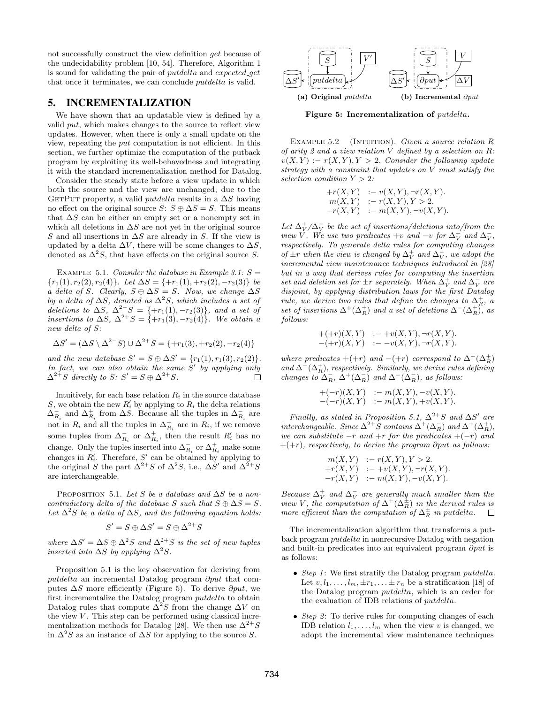not successfully construct the view definition get because of the undecidability problem [\[10,](#page-12-19) [54\]](#page-13-11). Therefore, Algorithm [1](#page-7-2) is sound for validating the pair of *putdelta* and *expected\_get* that once it terminates, we can conclude putdelta is valid.

# <span id="page-8-0"></span>5. INCREMENTALIZATION

We have shown that an updatable view is defined by a valid put, which makes changes to the source to reflect view updates. However, when there is only a small update on the view, repeating the put computation is not efficient. In this section, we further optimize the computation of the putback program by exploiting its well-behavedness and integrating it with the standard incrementalization method for Datalog.

Consider the steady state before a view update in which both the source and the view are unchanged; due to the GETPUT property, a valid *putdelta* results in a  $\Delta S$  having no effect on the original source  $S: S \oplus \Delta S = S$ . This means that  $\Delta S$  can be either an empty set or a nonempty set in which all deletions in  $\Delta S$  are not yet in the original source S and all insertions in  $\Delta S$  are already in S. If the view is updated by a delta  $\Delta V$ , there will be some changes to  $\Delta S$ , denoted as  $\Delta^2 S$ , that have effects on the original source S.

EXAMPLE 5.1. Consider the database in Example [3.1:](#page-2-2)  $S =$  ${r_1(1), r_2(2), r_2(4)}$ . Let  $\Delta S = {+r_1(1), +r_2(2), -r_2(3)}$  be a delta of S. Clearly,  $S \oplus \Delta S = S$ . Now, we change  $\Delta S$ by a delta of  $\Delta S$ , denoted as  $\Delta^2 S$ , which includes a set of deletions to  $\Delta S$ ,  $\Delta^{2-}S = \{+r_1(1), -r_2(3)\}\$ , and a set of insertions to  $\Delta S$ ,  $\Delta^{2+}S = \{+r_1(3), -r_2(4)\}$ . We obtain a new delta of S:

$$
\Delta S' = (\Delta S \setminus \Delta^{2-} S) \cup \Delta^{2+} S = \{ +r_1(3), +r_2(2), -r_2(4) \}
$$

and the new database  $S' = S \oplus \Delta S' = \{r_1(1), r_1(3), r_2(2)\}.$ In fact, we can also obtain the same  $S'$  by applying only  $\Delta^{2+}S$  directly to  $S: S' = S \oplus \Delta^{2+}S$ .  $\Box$ 

Intuitively, for each base relation  $R_i$  in the source database S, we obtain the new  $R'_i$  by applying to  $R_i$  the delta relations  $\Delta_{R_i}^-$  and  $\Delta_{R_i}^+$  from  $\Delta S$ . Because all the tuples in  $\Delta_{R_i}^-$  are not in  $R_i$  and all the tuples in  $\Delta_{R_i}^+$  are in  $R_i$ , if we remove some tuples from  $\Delta_{R_i}^-$  or  $\Delta_{R_i}^+$ , then the result  $R'_i$  has no change. Only the tuples inserted into  $\Delta_{R_i}^-$  or  $\Delta_{R_i}^+$  make some changes in  $R'_i$ . Therefore,  $S'$  can be obtained by applying to the original S the part  $\Delta^{2+}S$  of  $\Delta^2S$ , i.e.,  $\Delta S'$  and  $\Delta^{2+}S$ are interchangeable.

<span id="page-8-1"></span>PROPOSITION 5.1. Let S be a database and  $\Delta S$  be a noncontradictory delta of the database S such that  $S \oplus \Delta S = S$ . Let  $\Delta^2 S$  be a delta of  $\Delta S$ , and the following equation holds:

$$
S' = S \oplus \Delta S' = S \oplus \Delta^{2+} S
$$

where  $\Delta S' = \Delta S \oplus \Delta^2 S$  and  $\Delta^{2+} S$  is the set of new tuples inserted into  $\Delta S$  by applying  $\Delta^2 S$ .

<span id="page-8-3"></span>Proposition [5.1](#page-8-1) is the key observation for deriving from putdelta an incremental Datalog program ∂put that computes  $\Delta S$  more efficiently (Figure [5\)](#page-8-2). To derive  $\partial p u t$ , we first incrementalize the Datalog program putdelta to obtain Datalog rules that compute  $\Delta^2 S$  from the change  $\Delta V$  on the view  $V$ . This step can be performed using classical incre-mentalization methods for Datalog [\[28\]](#page-12-20). We then use  $\Delta^{2+}S$ in  $\Delta^2 S$  as an instance of  $\Delta S$  for applying to the source S.

<span id="page-8-2"></span>

Figure 5: Incrementalization of *putdelta*.

EXAMPLE  $5.2$  (INTUITION). Given a source relation R of arity 2 and a view relation  $V$  defined by a selection on  $R$ :  $v(X, Y) := r(X, Y), Y > 2$ . Consider the following update strategy with a constraint that updates on V must satisfy the selection condition  $Y > 2$ :

$$
+r(X,Y) := v(X,Y), \neg r(X,Y).
$$
  
\n
$$
m(X,Y) := r(X,Y), Y > 2.
$$
  
\n
$$
-r(X,Y) := m(X,Y), \neg v(X,Y).
$$

Let  $\Delta_V^+/\Delta_V^-$  be the set of insertions/deletions into/from the view V. We use two predicates +v and  $-v$  for  $\Delta_V^+$  and  $\Delta_V^-$ , respectively. To generate delta rules for computing changes of  $\pm r$  when the view is changed by  $\Delta_V^+$  and  $\Delta_V^-$ , we adopt the incremental view maintenance techniques introduced in [\[28\]](#page-12-20) but in a way that derives rules for computing the insertion set and deletion set for  $\pm r$  separately. When  $\tilde{\Delta}_V^+$  and  $\Delta_V^-$  are disjoint, by applying distribution laws for the first Datalog rule, we derive two rules that define the changes to  $\Delta_R^+$ , a set of insertions  $\Delta^+(\Delta_R^+)$  and a set of deletions  $\Delta^-(\Delta_R^+)$ , as follows:

$$
+(+r)(X,Y) := +v(X,Y), \neg r(X,Y).
$$
  

$$
-(+r)(X,Y) := -v(X,Y), \neg r(X,Y).
$$

where predicates  $+(+r)$  and  $-(+r)$  correspond to  $\Delta^+(\Delta_R^+)$ and  $\Delta^{-}(\Delta_{R}^{+})$ , respectively. Similarly, we derive rules defining changes to  $\Delta^-_R$ ,  $\Delta^+(\Delta^-_R)$  and  $\Delta^-(\Delta^-_R)$ , as follows:

$$
+(-r)(X,Y) := m(X,Y), -v(X,Y).
$$
  

$$
-(-r)(X,Y) := m(X,Y), +v(X,Y).
$$

Finally, as stated in Proposition [5.1,](#page-8-1)  $\Delta^{2+}S$  and  $\Delta S'$  are interchangeable. Since  $\Delta^{2+}S$  contains  $\Delta^{+}(\Delta_R^-)$  and  $\Delta^{+}(\Delta_R^+),$ we can substitute  $-r$  and  $+r$  for the predicates  $+(-r)$  and  $+(+r)$ , respectively, to derive the program ∂put as follows:

$$
m(X,Y) := r(X,Y), Y > 2.
$$
  
+r(X,Y) := +v(X,Y), -r(X,Y).  
-r(X,Y) := m(X,Y), -v(X,Y).

Because  $\Delta_V^+$  and  $\Delta_V^-$  are generally much smaller than the view V, the computation of  $\Delta^+(\Delta_R^{\pm})$  in the derived rules is more efficient than the computation of  $\Delta_R^{\pm}$  in putdelta.

The incrementalization algorithm that transforms a putback program putdelta in nonrecursive Datalog with negation and built-in predicates into an equivalent program ∂put is as follows:

- Step 1: We first stratify the Datalog program  $putdelta.$ Let  $v, l_1, \ldots, l_m, \pm r_1, \ldots \pm r_n$  be a stratification [\[18\]](#page-12-17) of the Datalog program putdelta, which is an order for the evaluation of IDB relations of putdelta.
- Step 2: To derive rules for computing changes of each IDB relation  $l_1, \ldots, l_m$  when the view v is changed, we adopt the incremental view maintenance techniques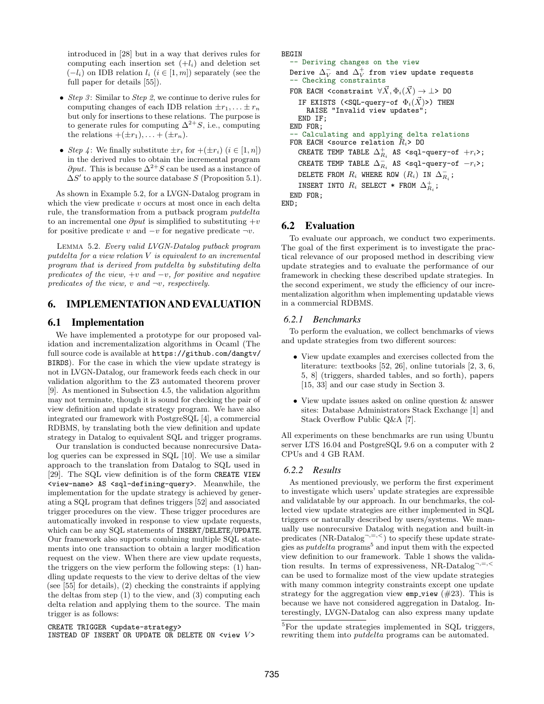introduced in [\[28\]](#page-12-20) but in a way that derives rules for computing each insertion set  $(+l_i)$  and deletion set  $(-l_i)$  on IDB relation  $l_i$   $(i \in [1, m])$  separately (see the full paper for details [\[55\]](#page-13-10)).

- Step 3: Similar to Step 2, we continue to derive rules for computing changes of each IDB relation  $\pm r_1, \ldots \pm r_n$ but only for insertions to these relations. The purpose is to generate rules for computing  $\Delta^{2+}S$ , i.e., computing the relations  $+(\pm r_1), \ldots + (\pm r_n)$ .
- Step 4: We finally substitute  $\pm r_i$  for  $+(\pm r_i)$   $(i \in [1, n])$ in the derived rules to obtain the incremental program  $\partial put$ . This is because  $\Delta^{2+}S$  can be used as a instance of  $\Delta S'$  to apply to the source database S (Proposition [5.1\)](#page-8-1).

As shown in Example [5.2,](#page-8-3) for a LVGN-Datalog program in which the view predicate  $v$  occurs at most once in each delta rule, the transformation from a putback program putdelta to an incremental one  $\partial put$  is simplified to substituting  $+v$ for positive predicate v and  $-v$  for negative predicate  $\neg v$ .

Lemma 5.2. Every valid LVGN-Datalog putback program putdelta for a view relation V is equivalent to an incremental program that is derived from putdelta by substituting delta predicates of the view,  $+v$  and  $-v$ , for positive and negative predicates of the view, v and  $\neg v$ , respectively.

## <span id="page-9-0"></span>6. IMPLEMENTATION AND EVALUATION

## 6.1 Implementation

We have implemented a prototype for our proposed validation and incrementalization algorithms in Ocaml (The full source code is available at [https://github.com/dangtv/](https://github.com/dangtv/BIRDS) [BIRDS](https://github.com/dangtv/BIRDS)). For the case in which the view update strategy is not in LVGN-Datalog, our framework feeds each check in our validation algorithm to the Z3 automated theorem prover [\[9\]](#page-12-24). As mentioned in Subsection [4.5,](#page-7-3) the validation algorithm may not terminate, though it is sound for checking the pair of view definition and update strategy program. We have also integrated our framework with PostgreSQL [\[4\]](#page-12-9), a commercial RDBMS, by translating both the view definition and update strategy in Datalog to equivalent SQL and trigger programs.

Our translation is conducted because nonrecursive Datalog queries can be expressed in SQL [\[10\]](#page-12-19). We use a similar approach to the translation from Datalog to SQL used in [\[29\]](#page-12-25). The SQL view definition is of the form CREATE VIEW <view-name> AS <sql-defining-query>. Meanwhile, the implementation for the update strategy is achieved by generating a SQL program that defines triggers [\[52\]](#page-13-12) and associated trigger procedures on the view. These trigger procedures are automatically invoked in response to view update requests, which can be any SQL statements of INSERT/DELETE/UPDATE. Our framework also supports combining multiple SQL statements into one transaction to obtain a larger modification request on the view. When there are view update requests, the triggers on the view perform the following steps: (1) handling update requests to the view to derive deltas of the view (see [\[55\]](#page-13-10) for details), (2) checking the constraints if applying the deltas from step (1) to the view, and (3) computing each delta relation and applying them to the source. The main trigger is as follows:

```
CREATE TRIGGER <update-strategy>
INSTEAD OF INSERT OR UPDATE OR DELETE ON \leview V>
```

```
BEGIN
   -- Deriving changes on the view
  Derive \Delta_V^- and \Delta_V^+ from view update requests
  -- Checking constraints
  FOR EACH <constraint \forall \vec{X}, \Phi_i(\vec{X}) \rightarrow \bot> DO
     IF EXISTS (<SQL-query-of \Phi_i(\vec{X})>) THEN
       RAISE "Invalid view updates";
     END IF;
  END FOR;
    - Calculating and applying delta relations
  FOR EACH <source relation R_i> DO
     CREATE TEMP TABLE \Delta_{R_i}^+ AS <sql-query-of +r_i>;
     CREATE TEMP TABLE \Delta^-_{R_i} AS <sql-query-of -r_i>;
     DELETE FROM R_i where ROW (R_i) in \Delta^-_{R_i};
     INSERT INTO R_i SELECT * FROM \Delta_{R_i}^+;
  END FOR;
END;
```
# 6.2 Evaluation

To evaluate our approach, we conduct two experiments. The goal of the first experiment is to investigate the practical relevance of our proposed method in describing view update strategies and to evaluate the performance of our framework in checking these described update strategies. In the second experiment, we study the efficiency of our incrementalization algorithm when implementing updatable views in a commercial RDBMS.

## *6.2.1 Benchmarks*

To perform the evaluation, we collect benchmarks of views and update strategies from two different sources:

- View update examples and exercises collected from the literature: textbooks [\[52,](#page-13-12) [26\]](#page-12-26), online tutorials [\[2,](#page-12-27) [3,](#page-12-28) [6,](#page-12-29) [5,](#page-12-30) [8\]](#page-12-31) (triggers, sharded tables, and so forth), papers [\[15,](#page-12-7) [33\]](#page-12-4) and our case study in Section [3.](#page-2-0)
- View update issues asked on online question & answer sites: Database Administrators Stack Exchange [\[1\]](#page-12-32) and Stack Overflow Public Q&A [\[7\]](#page-12-33).

All experiments on these benchmarks are run using Ubuntu server LTS 16.04 and PostgreSQL 9.6 on a computer with 2 CPUs and 4 GB RAM.

## *6.2.2 Results*

As mentioned previously, we perform the first experiment to investigate which users' update strategies are expressible and validatable by our approach. In our benchmarks, the collected view update strategies are either implemented in SQL triggers or naturally described by users/systems. We manually use nonrecursive Datalog with negation and built-in predicates (NR-Datalog<sup>-1,=1,<</sup>) to specify these update strategies as *putdelta* programs<sup>[5](#page-9-1)</sup> and input them with the expected view definition to our framework. Table [1](#page-10-1) shows the validation results. In terms of expressiveness, NR-Datalog<sup>-,=,<</sup> can be used to formalize most of the view update strategies with many common integrity constraints except one update strategy for the aggregation view  $emp\_view$  (#23). This is because we have not considered aggregation in Datalog. Interestingly, LVGN-Datalog can also express many update

<span id="page-9-1"></span><sup>&</sup>lt;sup>5</sup>For the update strategies implemented in SQL triggers, rewriting them into putdelta programs can be automated.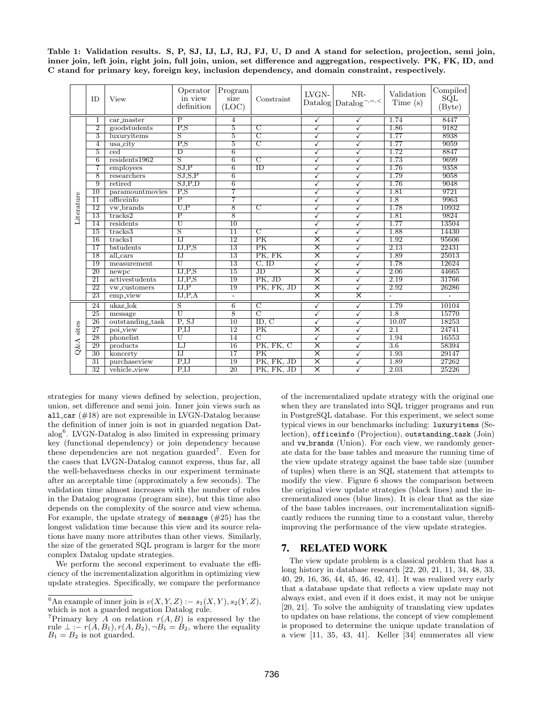<span id="page-10-1"></span>

|  |  |  |  | Table 1: Validation results. S, P, SJ, IJ, LJ, RJ, FJ, U, D and A stand for selection, projection, semi join,      |  |  |
|--|--|--|--|--------------------------------------------------------------------------------------------------------------------|--|--|
|  |  |  |  | inner join, left join, right join, full join, union, set difference and aggregation, respectively. PK, FK, ID, and |  |  |
|  |  |  |  | C stand for primary key, foreign key, inclusion dependency, and domain constraint, respectively.                   |  |  |

|                 | ID                      | View                    | Operator<br>in view<br>definition | ${\rm Program}$<br>size<br>(LOC) | Constraint              | LVGN-                   | $NR-$<br>$\text{Database} \text{Database}^{\neg, =, <}$ | Validation<br>Time(s) | Complied<br>SQL<br>(Byte) |
|-----------------|-------------------------|-------------------------|-----------------------------------|----------------------------------|-------------------------|-------------------------|---------------------------------------------------------|-----------------------|---------------------------|
| Literature      | 1                       | car_master              | $\overline{\mathrm{P}}$           | $\overline{4}$                   |                         | $\sqrt{}$               | ✓                                                       | 1.74                  | 8447                      |
|                 | $\overline{2}$          | goodstudents            | $\overline{P.S}$                  | $\overline{5}$                   | $\overline{\rm C}$      | ✓                       | ✓                                                       | 1.86                  | 9182                      |
|                 | $\overline{\mathbf{3}}$ | luxuryitems             | $\overline{\mathrm{S}}$           | $\overline{5}$                   | $\overline{\rm C}$      | ✓                       | ✓                                                       | 1.77                  | 8938                      |
|                 | 4                       | usa_city                | $\overline{P}$ . S                | $\overline{5}$                   | $\overline{\rm C}$      | $\checkmark$            |                                                         | 1.77                  | 9059                      |
|                 | $\overline{5}$          | $\overline{\text{ced}}$ | $\overline{D}$                    | $\overline{6}$                   |                         | ✓                       |                                                         | 1.72                  | 8847                      |
|                 | $\overline{6}$          | residents1962           | S                                 | $\overline{6}$                   | $\overline{C}$          | ✓                       |                                                         | 1.73                  | 9699                      |
|                 | 7                       | employees               | SJ.P                              | $\overline{6}$                   | ID                      | ✓                       | ✓                                                       | 1.76                  | 9358                      |
|                 | 8                       | researchers             | $\overline{SJ,S,P}$               | 6                                |                         | ✓                       | ✓                                                       | 1.79                  | 9058                      |
|                 | 9                       | retired                 | SJ.P.D                            | $\overline{6}$                   |                         | ✓                       | ✓                                                       | 1.76                  | 9048                      |
|                 | $\overline{10}$         | paramountmovies         | $_{\rm P,S}$                      | 7                                |                         | ✓                       | ✓                                                       | 1.81                  | 9721                      |
|                 | $\overline{11}$         | officeinfo              | $\overline{P}$                    | 7                                |                         | ✓                       | ✓                                                       | $\overline{1.8}$      | 9963                      |
|                 | $\overline{12}$         | vw_brands               | $_{\rm U,P}$                      | $\overline{8}$                   | $\overline{\rm C}$      | ✓                       | ✓                                                       | 1.78                  | 10932                     |
|                 | $\overline{13}$         | tracks2                 | $\overline{\mathrm{P}}$           | $\overline{8}$                   |                         | ✓                       |                                                         | 1.81                  | 9824                      |
|                 | 14                      | residents               | $_{\rm U}$                        | $\overline{10}$                  |                         | ✓                       |                                                         | 1.77                  | 13504                     |
|                 | 15                      | tracks3                 | $\overline{\mathrm{s}}$           | $\overline{11}$                  | $\overline{\mathrm{C}}$ | ✓                       |                                                         | 1.88                  | 14430                     |
|                 | 16                      | tracks1                 | $\overline{L}$                    | 12                               | PK                      | $\overline{\mathsf{x}}$ |                                                         | 1.92                  | 95606                     |
|                 | 17                      | bstudents               | IJ, P, S                          | 13                               | PK                      | $\overline{\mathsf{x}}$ |                                                         | 2.13                  | 22431                     |
|                 | 18                      | all_cars                | $_{\text{IJ}}$                    | 13                               | PK, FK                  | $\overline{\mathsf{x}}$ |                                                         | 1.89                  | 25013                     |
|                 | 19                      | measurement             | Ū                                 | 13                               | $C,$ ID                 | $\checkmark$            | ✓                                                       | 1.78                  | 12624                     |
|                 | $\overline{20}$         | newpc                   | IJ.P.S                            | $\overline{15}$                  | $\overline{J}D$         | $\overline{\mathsf{x}}$ | ✓                                                       | 2.06                  | 44665                     |
|                 | $\overline{21}$         | activestudents          | IJ.P.S                            | 19                               | PK. JD                  | $\overline{\mathsf{x}}$ | ✓                                                       | 2.19                  | 31766                     |
|                 | $\overline{22}$         | vw_customers            | IJ.P                              | 19                               | PK, FK, JD              | $\overline{\mathsf{x}}$ | ✓                                                       | 2.92                  | 26286                     |
|                 | $\overline{23}$         | emp_view                | IJ.P.A                            | $\overline{\phantom{a}}$         |                         | $\overline{\mathsf{x}}$ | $\overline{\mathsf{x}}$                                 | τ                     | $\overline{a}$            |
|                 | 24                      | $ukaz$ lok              | $\overline{\mathrm{s}}$           | $\overline{6}$                   | $\overline{\rm C}$      | $\overline{\checkmark}$ | $\tilde{\checkmark}$                                    | 1.79                  | 10104                     |
|                 | 25                      | message                 | U                                 | $\overline{8}$                   | $\overline{C}$          | ✓                       |                                                         | $\overline{1.8}$      | 15770                     |
|                 | 26                      | outstanding_task        | P, SJ                             | $\overline{10}$                  | ID, C                   | ✓                       |                                                         | 10.07                 | 18253                     |
| sites<br>$Q\&A$ | 27                      | poi_view                | P, IJ                             | $\overline{12}$                  | PK                      | $\overline{\mathsf{x}}$ |                                                         | 2.1                   | 24741                     |
|                 | 28                      | phonelist               | U                                 | 14                               | $\overline{C}$          | ✓                       |                                                         | 1.94                  | 16553                     |
|                 | 29                      | products                | LJ                                | 16                               | PK, FK, C               | $\overline{\mathsf{x}}$ | ✓                                                       | 3.6                   | 58394                     |
|                 | 30                      | koncerty                | $\overline{IJ}$                   | $\overline{17}$                  | PK                      | $\overline{\mathsf{x}}$ | ✓                                                       | 1.93                  | 29147                     |
|                 | $\overline{31}$         | purchaseview            | $\overline{P.IJ}$                 | $\overline{19}$                  | PK, FK, JD              | $\overline{\mathsf{x}}$ | ✓                                                       | 1.89                  | 27262                     |
|                 | $\overline{32}$         | vehicle_view            | P.IJ                              | $\overline{20}$                  | PK, FK, JD              | $\overline{\mathsf{x}}$ | ✓                                                       | 2.03                  | 25226                     |

strategies for many views defined by selection, projection, union, set difference and semi join. Inner join views such as all car  $(\#18)$  are not expressible in LVGN-Datalog because the definition of inner join is not in guarded negation Dat-alog<sup>[6](#page-10-2)</sup>. LVGN-Datalog is also limited in expressing primary key (functional dependency) or join dependency because these dependencies are not negation guarded[7](#page-10-3) . Even for the cases that LVGN-Datalog cannot express, thus far, all the well-behavedness checks in our experiment terminate after an acceptable time (approximately a few seconds). The validation time almost increases with the number of rules in the Datalog programs (program size), but this time also depends on the complexity of the source and view schema. For example, the update strategy of message  $(\#25)$  has the longest validation time because this view and its source relations have many more attributes than other views. Similarly, the size of the generated SQL program is larger for the more complex Datalog update strategies.

We perform the second experiment to evaluate the efficiency of the incrementalization algorithm in optimizing view update strategies. Specifically, we compare the performance

of the incrementalized update strategy with the original one when they are translated into SQL trigger programs and run in PostgreSQL database. For this experiment, we select some typical views in our benchmarks including: luxuryitems (Selection), officeinfo (Projection), outstanding task (Join) and vw brands (Union). For each view, we randomly generate data for the base tables and measure the running time of the view update strategy against the base table size (number of tuples) when there is an SQL statement that attempts to modify the view. Figure [6](#page-11-1) shows the comparison between the original view update strategies (black lines) and the incrementalized ones (blue lines). It is clear that as the size of the base tables increases, our incrementalization significantly reduces the running time to a constant value, thereby improving the performance of the view update strategies.

## <span id="page-10-0"></span>7. RELATED WORK

The view update problem is a classical problem that has a long history in database research [\[22,](#page-12-3) [20,](#page-12-1) [21,](#page-12-2) [11,](#page-12-0) [34,](#page-12-5) [48,](#page-13-13) [33,](#page-12-4) [40,](#page-13-0) [29,](#page-12-25) [16,](#page-12-34) [36,](#page-12-6) [44,](#page-13-5) [45,](#page-13-1) [46,](#page-13-6) [42,](#page-13-2) [41\]](#page-13-3). It was realized very early that a database update that reflects a view update may not always exist, and even if it does exist, it may not be unique [\[20,](#page-12-1) [21\]](#page-12-2). To solve the ambiguity of translating view updates to updates on base relations, the concept of view complement is proposed to determine the unique update translation of a view [\[11,](#page-12-0) [35,](#page-12-8) [43,](#page-13-4) [41\]](#page-13-3). Keller [\[34\]](#page-12-5) enumerates all view

<span id="page-10-2"></span><sup>&</sup>lt;sup>6</sup>An example of inner join is  $v(X, Y, Z)$  :−  $s_1(X, Y)$ ,  $s_2(Y, Z)$ , which is not a guarded negation Datalog rule.

<span id="page-10-3"></span><sup>&</sup>lt;sup>7</sup>Primary key A on relation  $r(A, B)$  is expressed by the rule  $\bot$  :–  $r(A, B_1)$ ,  $r(A, B_2)$ ,  $\neg B_1 = B_2$ , where the equality  $B_1 = B_2$  is not guarded.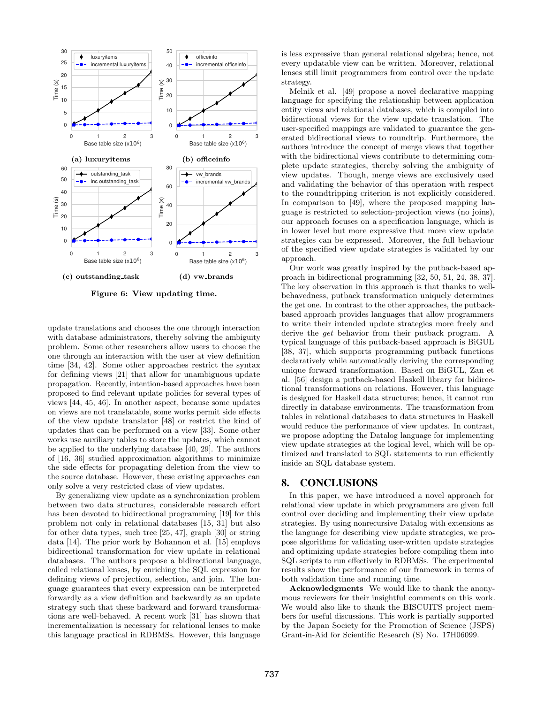<span id="page-11-1"></span>

Figure 6: View updating time.

update translations and chooses the one through interaction with database administrators, thereby solving the ambiguity problem. Some other researchers allow users to choose the one through an interaction with the user at view definition time [\[34,](#page-12-5) [42\]](#page-13-2). Some other approaches restrict the syntax for defining views [\[21\]](#page-12-2) that allow for unambiguous update propagation. Recently, intention-based approaches have been proposed to find relevant update policies for several types of views [\[44,](#page-13-5) [45,](#page-13-1) [46\]](#page-13-6). In another aspect, because some updates on views are not translatable, some works permit side effects of the view update translator [\[48\]](#page-13-13) or restrict the kind of updates that can be performed on a view [\[33\]](#page-12-4). Some other works use auxiliary tables to store the updates, which cannot be applied to the underlying database [\[40,](#page-13-0) [29\]](#page-12-25). The authors of [\[16,](#page-12-34) [36\]](#page-12-6) studied approximation algorithms to minimize the side effects for propagating deletion from the view to the source database. However, these existing approaches can only solve a very restricted class of view updates.

By generalizing view update as a synchronization problem between two data structures, considerable research effort has been devoted to bidirectional programming [\[19\]](#page-12-11) for this problem not only in relational databases [\[15,](#page-12-7) [31\]](#page-12-35) but also for other data types, such tree [\[25,](#page-12-10) [47\]](#page-13-14), graph [\[30\]](#page-12-36) or string data [\[14\]](#page-12-37). The prior work by Bohannon et al. [\[15\]](#page-12-7) employs bidirectional transformation for view update in relational databases. The authors propose a bidirectional language, called relational lenses, by enriching the SQL expression for defining views of projection, selection, and join. The language guarantees that every expression can be interpreted forwardly as a view definition and backwardly as an update strategy such that these backward and forward transformations are well-behaved. A recent work [\[31\]](#page-12-35) has shown that incrementalization is necessary for relational lenses to make this language practical in RDBMSs. However, this language

is less expressive than general relational algebra; hence, not every updatable view can be written. Moreover, relational lenses still limit programmers from control over the update strategy.

Melnik et al. [\[49\]](#page-13-15) propose a novel declarative mapping language for specifying the relationship between application entity views and relational databases, which is compiled into bidirectional views for the view update translation. The user-specified mappings are validated to guarantee the generated bidirectional views to roundtrip. Furthermore, the authors introduce the concept of merge views that together with the bidirectional views contribute to determining complete update strategies, thereby solving the ambiguity of view updates. Though, merge views are exclusively used and validating the behavior of this operation with respect to the roundtripping criterion is not explicitly considered. In comparison to [\[49\]](#page-13-15), where the proposed mapping language is restricted to selection-projection views (no joins), our approach focuses on a specification language, which is in lower level but more expressive that more view update strategies can be expressed. Moreover, the full behaviour of the specified view update strategies is validated by our approach.

Our work was greatly inspired by the putback-based approach in bidirectional programming [\[32,](#page-12-12) [50,](#page-13-16) [51,](#page-13-17) [24,](#page-12-13) [38,](#page-12-15) [37\]](#page-12-16). The key observation in this approach is that thanks to wellbehavedness, putback transformation uniquely determines the get one. In contrast to the other approaches, the putbackbased approach provides languages that allow programmers to write their intended update strategies more freely and derive the get behavior from their putback program. A typical language of this putback-based approach is BiGUL [\[38,](#page-12-15) [37\]](#page-12-16), which supports programming putback functions declaratively while automatically deriving the corresponding unique forward transformation. Based on BiGUL, Zan et al. [\[56\]](#page-13-18) design a putback-based Haskell library for bidirectional transformations on relations. However, this language is designed for Haskell data structures; hence, it cannot run directly in database environments. The transformation from tables in relational databases to data structures in Haskell would reduce the performance of view updates. In contrast, we propose adopting the Datalog language for implementing view update strategies at the logical level, which will be optimized and translated to SQL statements to run efficiently inside an SQL database system.

## <span id="page-11-0"></span>8. CONCLUSIONS

In this paper, we have introduced a novel approach for relational view update in which programmers are given full control over deciding and implementing their view update strategies. By using nonrecursive Datalog with extensions as the language for describing view update strategies, we propose algorithms for validating user-written update strategies and optimizing update strategies before compiling them into SQL scripts to run effectively in RDBMSs. The experimental results show the performance of our framework in terms of both validation time and running time.

Acknowledgments We would like to thank the anonymous reviewers for their insightful comments on this work. We would also like to thank the BISCUITS project members for useful discussions. This work is partially supported by the Japan Society for the Promotion of Science (JSPS) Grant-in-Aid for Scientific Research (S) No. 17H06099.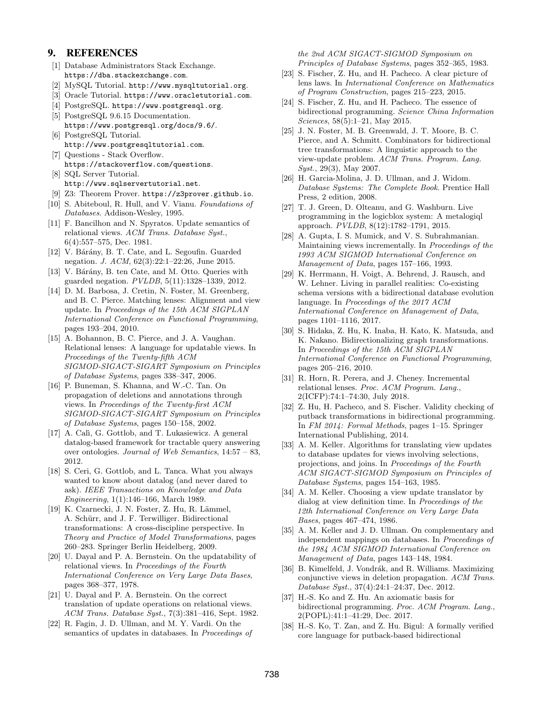## 9. REFERENCES

- <span id="page-12-32"></span>[1] Database Administrators Stack Exchange. <https://dba.stackexchange.com>.
- <span id="page-12-27"></span>[2] MySQL Tutorial. <http://www.mysqltutorial.org>.
- <span id="page-12-28"></span>[3] Oracle Tutorial. <https://www.oracletutorial.com>.
- <span id="page-12-9"></span>[4] PostgreSQL. <https://www.postgresql.org>.
- <span id="page-12-30"></span>[5] PostgreSQL 9.6.15 Documentation. <https://www.postgresql.org/docs/9.6/>.
- <span id="page-12-29"></span>[6] PostgreSQL Tutorial. <http://www.postgresqltutorial.com>.
- <span id="page-12-33"></span>[7] Questions - Stack Overflow. <https://stackoverflow.com/questions>.
- <span id="page-12-31"></span>[8] SQL Server Tutorial. <http://www.sqlservertutorial.net>.
- <span id="page-12-24"></span>[9] Z3: Theorem Prover. <https://z3prover.github.io>.
- <span id="page-12-19"></span>[10] S. Abiteboul, R. Hull, and V. Vianu. Foundations of Databases. Addison-Wesley, 1995.
- <span id="page-12-0"></span>[11] F. Bancilhon and N. Spyratos. Update semantics of relational views. ACM Trans. Database Syst., 6(4):557–575, Dec. 1981.
- <span id="page-12-23"></span>[12] V. Bárány, B. T. Cate, and L. Segoufin. Guarded negation. J. ACM, 62(3):22:1–22:26, June 2015.
- <span id="page-12-22"></span>[13] V. Bárány, B. ten Cate, and M. Otto. Queries with guarded negation. PVLDB, 5(11):1328–1339, 2012.
- <span id="page-12-37"></span>[14] D. M. Barbosa, J. Cretin, N. Foster, M. Greenberg, and B. C. Pierce. Matching lenses: Alignment and view update. In Proceedings of the 15th ACM SIGPLAN International Conference on Functional Programming, pages 193–204, 2010.
- <span id="page-12-7"></span>[15] A. Bohannon, B. C. Pierce, and J. A. Vaughan. Relational lenses: A language for updatable views. In Proceedings of the Twenty-fifth ACM SIGMOD-SIGACT-SIGART Symposium on Principles of Database Systems, pages 338–347, 2006.
- <span id="page-12-34"></span>[16] P. Buneman, S. Khanna, and W.-C. Tan. On propagation of deletions and annotations through views. In Proceedings of the Twenty-first ACM SIGMOD-SIGACT-SIGART Symposium on Principles of Database Systems, pages 150–158, 2002.
- <span id="page-12-18"></span>[17] A. Calì, G. Gottlob, and T. Lukasiewicz. A general datalog-based framework for tractable query answering over ontologies. Journal of Web Semantics, 14:57 – 83, 2012.
- <span id="page-12-17"></span>[18] S. Ceri, G. Gottlob, and L. Tanca. What you always wanted to know about datalog (and never dared to ask). IEEE Transactions on Knowledge and Data Engineering, 1(1):146–166, March 1989.
- <span id="page-12-11"></span>[19] K. Czarnecki, J. N. Foster, Z. Hu, R. Lämmel, A. Schürr, and J. F. Terwilliger. Bidirectional transformations: A cross-discipline perspective. In Theory and Practice of Model Transformations, pages 260–283. Springer Berlin Heidelberg, 2009.
- <span id="page-12-1"></span>[20] U. Dayal and P. A. Bernstein. On the updatability of relational views. In Proceedings of the Fourth International Conference on Very Large Data Bases, pages 368–377, 1978.
- <span id="page-12-2"></span>[21] U. Dayal and P. A. Bernstein. On the correct translation of update operations on relational views. ACM Trans. Database Syst., 7(3):381–416, Sept. 1982.
- <span id="page-12-3"></span>[22] R. Fagin, J. D. Ullman, and M. Y. Vardi. On the semantics of updates in databases. In Proceedings of

the 2nd ACM SIGACT-SIGMOD Symposium on Principles of Database Systems, pages 352–365, 1983.

- <span id="page-12-14"></span>[23] S. Fischer, Z. Hu, and H. Pacheco. A clear picture of lens laws. In International Conference on Mathematics of Program Construction, pages 215–223, 2015.
- <span id="page-12-13"></span>[24] S. Fischer, Z. Hu, and H. Pacheco. The essence of bidirectional programming. Science China Information Sciences, 58(5):1–21, May 2015.
- <span id="page-12-10"></span>[25] J. N. Foster, M. B. Greenwald, J. T. Moore, B. C. Pierce, and A. Schmitt. Combinators for bidirectional tree transformations: A linguistic approach to the view-update problem. ACM Trans. Program. Lang. Syst., 29(3), May 2007.
- <span id="page-12-26"></span>[26] H. Garcia-Molina, J. D. Ullman, and J. Widom. Database Systems: The Complete Book. Prentice Hall Press, 2 edition, 2008.
- <span id="page-12-21"></span>[27] T. J. Green, D. Olteanu, and G. Washburn. Live programming in the logicblox system: A metalogiql approach. PVLDB, 8(12):1782–1791, 2015.
- <span id="page-12-20"></span>[28] A. Gupta, I. S. Mumick, and V. S. Subrahmanian. Maintaining views incrementally. In Proceedings of the 1993 ACM SIGMOD International Conference on Management of Data, pages 157–166, 1993.
- <span id="page-12-25"></span>[29] K. Herrmann, H. Voigt, A. Behrend, J. Rausch, and W. Lehner. Living in parallel realities: Co-existing schema versions with a bidirectional database evolution language. In Proceedings of the 2017 ACM International Conference on Management of Data, pages 1101–1116, 2017.
- <span id="page-12-36"></span>[30] S. Hidaka, Z. Hu, K. Inaba, H. Kato, K. Matsuda, and K. Nakano. Bidirectionalizing graph transformations. In Proceedings of the 15th ACM SIGPLAN International Conference on Functional Programming, pages 205–216, 2010.
- <span id="page-12-35"></span>[31] R. Horn, R. Perera, and J. Cheney. Incremental relational lenses. Proc. ACM Program. Lang., 2(ICFP):74:1–74:30, July 2018.
- <span id="page-12-12"></span>[32] Z. Hu, H. Pacheco, and S. Fischer. Validity checking of putback transformations in bidirectional programming. In FM 2014: Formal Methods, pages 1–15. Springer International Publishing, 2014.
- <span id="page-12-4"></span>[33] A. M. Keller. Algorithms for translating view updates to database updates for views involving selections, projections, and joins. In Proceedings of the Fourth ACM SIGACT-SIGMOD Symposium on Principles of Database Systems, pages 154–163, 1985.
- <span id="page-12-5"></span>[34] A. M. Keller. Choosing a view update translator by dialog at view definition time. In Proceedings of the 12th International Conference on Very Large Data Bases, pages 467–474, 1986.
- <span id="page-12-8"></span>[35] A. M. Keller and J. D. Ullman. On complementary and independent mappings on databases. In Proceedings of the 1984 ACM SIGMOD International Conference on Management of Data, pages 143–148, 1984.
- <span id="page-12-6"></span>[36] B. Kimelfeld, J. Vondrák, and R. Williams. Maximizing conjunctive views in deletion propagation. ACM Trans. Database Syst., 37(4):24:1–24:37, Dec. 2012.
- <span id="page-12-16"></span>[37] H.-S. Ko and Z. Hu. An axiomatic basis for bidirectional programming. Proc. ACM Program. Lang., 2(POPL):41:1–41:29, Dec. 2017.
- <span id="page-12-15"></span>[38] H.-S. Ko, T. Zan, and Z. Hu. Bigul: A formally verified core language for putback-based bidirectional